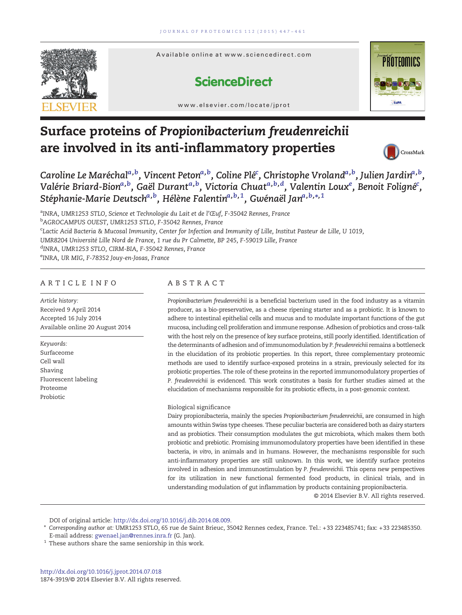

# Surface proteins of Propionibacterium freudenreichii are involved in its anti-inflammatory properties



Caroline Le Maréchal<sup>a, b</sup>, Vincent Peton<sup>a, b</sup>, Coline Plé<sup>c</sup>, Christophe Vroland<sup>a, b</sup>, Julien Jardin<sup>a, b</sup>, Valérie Briard-Bion<sup>a,b</sup>, Gaël Durant<sup>a,b</sup>, Victoria Chuat<sup>a,b,d</sup>, Valentin Loux<sup>e</sup>, Benoit Foligné<sup>c</sup>, Stéphanie-Marie Deutsch<sup>a,b</sup>, Hélène Falentin<sup>a,b,1</sup>, Gwénaël Jan<sup>a,b,</sup>\*,<sup>1</sup>

<sup>a</sup>INRA, UMR1253 STLO, Science et Technologie du Lait et de l'Œuf, F-35042 Rennes, France <sup>b</sup>AGROCAMPUS OUEST, UMR1253 STLO, F-35042 Rennes, France <sup>c</sup>Lactic Acid Bacteria & Mucosal Immunity, Center for Infection and Immunity of Lille, Institut Pasteur de Lille, U 1019, UMR8204 Université Lille Nord de France, 1 rue du Pr Calmette, BP 245, F-59019 Lille, France d INRA, UMR1253 STLO, CIRM-BIA, F-35042 Rennes, France <sup>e</sup>INRA, UR MIG, F-78352 Jouy-en-Josas, France

# ARTICLE INFO ABSTRACT

Article history: Received 9 April 2014 Accepted 16 July 2014 Available online 20 August 2014

Keywords: Surfaceome Cell wall Shaving Fluorescent labeling Proteome Probiotic

Propionibacterium freudenreichii is a beneficial bacterium used in the food industry as a vitamin producer, as a bio-preservative, as a cheese ripening starter and as a probiotic. It is known to adhere to intestinal epithelial cells and mucus and to modulate important functions of the gut mucosa, including cell proliferation and immune response. Adhesion of probiotics and cross-talk with the host rely on the presence of key surface proteins, still poorly identified. Identification of the determinants of adhesion and of immunomodulation by P. freudenreichii remains a bottleneck in the elucidation of its probiotic properties. In this report, three complementary proteomic methods are used to identify surface-exposed proteins in a strain, previously selected for its probiotic properties. The role of these proteins in the reported immunomodulatory properties of P. freudenreichii is evidenced. This work constitutes a basis for further studies aimed at the elucidation of mechanisms responsible for its probiotic effects, in a post-genomic context.

#### Biological significance

Dairy propionibacteria, mainly the species Propionibacterium freudenreichii, are consumed in high amounts within Swiss type cheeses. These peculiar bacteria are considered both as dairy starters and as probiotics. Their consumption modulates the gut microbiota, which makes them both probiotic and prebiotic. Promising immunomodulatory properties have been identified in these bacteria, in vitro, in animals and in humans. However, the mechanisms responsible for such anti-inflammatory properties are still unknown. In this work, we identify surface proteins involved in adhesion and immunostimulation by P. freudenreichii. This opens new perspectives for its utilization in new functional fermented food products, in clinical trials, and in understanding modulation of gut inflammation by products containing propionibacteria.

© 2014 Elsevier B.V. All rights reserved.

DOI of original article: http://dx.doi.org[/10.1016/j.dib.2014.08.009.](http://dx.doi.org/10.1016/j.dib.2014.08.009)

- ⁎ Corresponding author at: UMR1253 STLO, 65 rue de Saint Brieuc, 35042 Rennes cedex, France. Tel.: +33 223485741; fax: +33 223485350. E-mail address: [gwenael.jan@rennes.inra.fr](mailto:gwenael.jan@rennes.inra.fr) (G. Jan).
- $1$  These authors share the same seniorship in this work.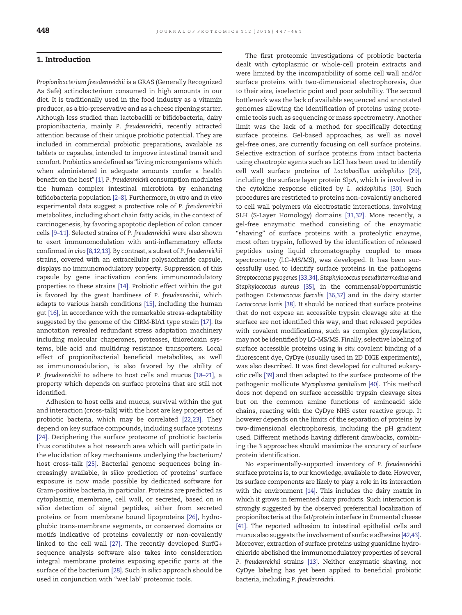# 1. Introduction

Propionibacterium freudenreichii is a GRAS (Generally Recognized As Safe) actinobacterium consumed in high amounts in our diet. It is traditionally used in the food industry as a vitamin producer, as a bio-preservative and as a cheese ripening starter. Although less studied than lactobacilli or bifidobacteria, dairy propionibacteria, mainly P. freudenreichii, recently attracted attention because of their unique probiotic potential. They are included in commercial probiotic preparations, available as tablets or capsules, intended to improve intestinal transit and comfort. Probiotics are defined as "livingmicroorganisms which when administered in adequate amounts confer a health benefit on the host" [\[1\].](#page-12-0) P. freudenreichii consumption modulates the human complex intestinal microbiota by enhancing bifidobacteria population [\[2](#page-12-0)–8]. Furthermore, in vitro and in vivo experimental data suggest a protective role of P. freudenreichii metabolites, including short chain fatty acids, in the context of carcinogenesis, by favoring apoptotic depletion of colon cancer cells [9–[11\]](#page-12-0). Selected strains of P. freudenreichii were also shown to exert immunomodulation with anti-inflammatory effects confirmed in vivo [\[8,12,13\].](#page-12-0) By contrast, a subset of P. freudenreichii strains, covered with an extracellular polysaccharide capsule, displays no immunomodulatory property. Suppression of this capsule by gene inactivation confers immunomodulatory properties to these strains [\[14\]](#page-12-0). Probiotic effect within the gut is favored by the great hardiness of P. freudenreichii, which adapts to various harsh conditions [\[15\]](#page-12-0), including the human gut [\[16\]](#page-12-0), in accordance with the remarkable stress-adaptability suggested by the genome of the CIRM-BIA1 type strain [\[17\]](#page-12-0). Its annotation revealed redundant stress adaptation machinery including molecular chaperones, proteases, thioredoxin systems, bile acid and multidrug resistance transporters. Local effect of propionibacterial beneficial metabolites, as well as immunomodulation, is also favored by the ability of P. freudenreichii to adhere to host cells and mucus [\[18](#page-12-0)–21], a property which depends on surface proteins that are still not identified.

Adhesion to host cells and mucus, survival within the gut and interaction (cross-talk) with the host are key properties of probiotic bacteria, which may be correlated [\[22,23\].](#page-12-0) They depend on key surface compounds, including surface proteins [\[24\]](#page-12-0). Deciphering the surface proteome of probiotic bacteria thus constitutes a hot research area which will participate in the elucidation of key mechanisms underlying the bacterium/ host cross-talk [\[25\].](#page-12-0) Bacterial genome sequences being increasingly available, in silico prediction of proteins' surface exposure is now made possible by dedicated software for Gram-positive bacteria, in particular. Proteins are predicted as cytoplasmic, membrane, cell wall, or secreted, based on in silico detection of signal peptides, either from secreted proteins or from membrane bound lipoproteins [\[26\],](#page-12-0) hydrophobic trans-membrane segments, or conserved domains or motifs indicative of proteins covalently or non-covalently linked to the cell wall [\[27\].](#page-12-0) The recently developed SurfG+ sequence analysis software also takes into consideration integral membrane proteins exposing specific parts at the surface of the bacterium [\[28\]](#page-12-0). Such in silico approach should be used in conjunction with "wet lab" proteomic tools.

The first proteomic investigations of probiotic bacteria dealt with cytoplasmic or whole-cell protein extracts and were limited by the incompatibility of some cell wall and/or surface proteins with two-dimensional electrophoresis, due to their size, isoelectric point and poor solubility. The second bottleneck was the lack of available sequenced and annotated genomes allowing the identification of proteins using proteomic tools such as sequencing or mass spectrometry. Another limit was the lack of a method for specifically detecting surface proteins. Gel-based approaches, as well as novel gel-free ones, are currently focusing on cell surface proteins. Selective extraction of surface proteins from intact bacteria using chaotropic agents such as LiCl has been used to identify cell wall surface proteins of Lactobacillus acidophilus [\[29\]](#page-12-0), including the surface layer protein SlpA, which is involved in the cytokine response elicited by L. acidophilus [\[30\]](#page-12-0). Such procedures are restricted to proteins non-covalently anchored to cell wall polymers via electrostatic interactions, involving SLH (S-Layer Homology) domains [\[31,32\].](#page-12-0) More recently, a gel-free enzymatic method consisting of the enzymatic "shaving" of surface proteins with a proteolytic enzyme, most often trypsin, followed by the identification of released peptides using liquid chromatography coupled to mass spectrometry (LC–MS/MS), was developed. It has been successfully used to identify surface proteins in the pathogens Streptococcus pyogenes [\[33,34\]](#page-12-0), Staphylococcus pseudintermedius and Staphylococcus aureus [\[35\],](#page-13-0) in the commensal/opportunistic pathogen Enterococcus faecalis [\[36,37\]](#page-13-0) and in the dairy starter Lactococcus lactis [\[38\]](#page-13-0). It should be noticed that surface proteins that do not expose an accessible trypsin cleavage site at the surface are not identified this way, and that released peptides with covalent modifications, such as complex glycosylation, may not be identified by LC–MS/MS. Finally, selective labeling of surface accessible proteins using in situ covalent binding of a fluorescent dye, CyDye (usually used in 2D DIGE experiments), was also described. It was first developed for cultured eukaryotic cells [\[39\]](#page-13-0) and then adapted to the surface proteome of the pathogenic mollicute Mycoplasma genitalium [\[40\].](#page-13-0) This method does not depend on surface accessible trypsin cleavage sites but on the common amine functions of aminoacid side chains, reacting with the CyDye NHS ester reactive group. It however depends on the limits of the separation of proteins by two-dimensional electrophoresis, including the pH gradient used. Different methods having different drawbacks, combining the 3 approaches should maximize the accuracy of surface protein identification.

No experimentally-supported inventory of P. freudenreichii surface proteins is, to our knowledge, available to date. However, its surface components are likely to play a role in its interaction with the environment [\[14\]](#page-12-0). This includes the dairy matrix in which it grows in fermented dairy products. Such interaction is strongly suggested by the observed preferential localization of propionibacteria at the fat/protein interface in Emmental cheese [\[41\]](#page-13-0). The reported adhesion to intestinal epithelial cells and mucus also suggests the involvement of surface adhesins [\[42,43\]](#page-13-0). Moreover, extraction of surface proteins using guanidine hydrochloride abolished the immunomodulatory properties of several P. freudenreichii strains [\[13\].](#page-12-0) Neither enzymatic shaving, nor CyDye labeling has yet been applied to beneficial probiotic bacteria, including P. freudenreichii.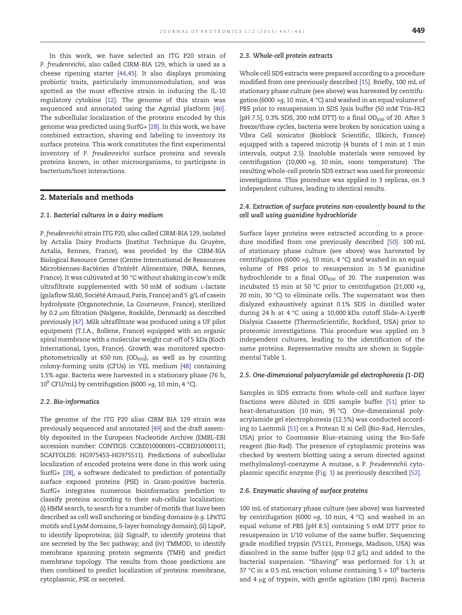<span id="page-2-0"></span>In this work, we have selected an ITG P20 strain of P. freudenreichii, also called CIRM-BIA 129, which is used as a cheese ripening starter [\[44,45\]](#page-13-0). It also displays promising probiotic traits, particularly immunomodulation, and was spotted as the most effective strain in inducing the IL-10 regulatory cytokine [\[12\].](#page-12-0) The genome of this strain was sequenced and annotated using the Agmial platform [\[46\].](#page-13-0) The subcellular localization of the proteins encoded by this genome was predicted using SurfG+ [\[28\]](#page-12-0). In this work, we have combined extraction, shaving and labeling to inventory its surface proteins. This work constitutes the first experimental inventory of P. freudenreichii surface proteins and reveals proteins known, in other microorganisms, to participate in bacterium/host interactions.

# 2. Materials and methods

#### 2.1. Bacterial cultures in a dairy medium

P. freudenreichii strain ITG P20, also called CIRM-BIA 129, isolated by Actalia Dairy Products (Institut Technique du Gruyère, Actalia, Rennes, France), was provided by the CIRM-BIA Biological Resource Center (Centre International de Ressources Microbiennes-Bactéries d'Intérêt Alimentaire, INRA, Rennes, France). It was cultivated at 30 °C without shaking in cow's milk ultrafiltrate supplemented with 50 mM of sodium L-lactate (galaflow SL60, Société Arnaud, Paris, France) and 5 g/L of casein hydrolysate (Organotechnie, La Courneuve, France), sterilized by 0.2 μm filtration (Nalgene, Roskilde, Denmark) as described previously [\[47\]](#page-13-0). Milk ultrafiltrate was produced using a UF pilot equipment (T.I.A., Bollene, France) equipped with an organic spiral membrane with a molecular weight cut-off of 5 kDa (Koch International, Lyon, France). Growth was monitored spectrophotometrically at 650 nm (OD $_{650}$ ), as well as by counting colony-forming units (CFUs) in YEL medium [\[48\]](#page-13-0) containing 1.5% agar. Bacteria were harvested in a stationary phase (76 h,  $10^9$  CFU/mL) by centrifugation (6000 ×g, 10 min, 4 °C).

#### 2.2. Bio-informatics

The genome of the ITG P20 alias CIRM BIA 129 strain was previously sequenced and annotated [\[49\]](#page-13-0) and the draft assembly deposited in the European Nucleotide Archive (EMBL-EBI accession number: CONTIGS: CCBE010000001–CCBE010000111; SCAFFOLDS: HG975453–HG975511). Predictions of subcellular localization of encoded proteins were done in this work using SurfG+ [\[28\],](#page-12-0) a software dedicated to prediction of potentially surface exposed proteins (PSE) in Gram-positive bacteria. SurfG+ integrates numerous bioinformatics prediction to classify proteins according to their sub-cellular localization: (i) HMM search, to search for a number of motifs that have been described as cell wall anchoring or binding domains (e.g. LPxTG motifs and LysM domains, S-layer homology domain); (ii) LipoP, to identify lipoproteins; (iii) SignalP, to identify proteins that are secreted by the Sec pathway; and (iv) TMMOD, to identify membrane spanning protein segments (TMH) and predict membrane topology. The results from those predictions are then combined to predict localization of proteins: membrane, cytoplasmic, PSE or secreted.

#### 2.3. Whole-cell protein extracts

Whole cell SDS extracts were prepared according to a procedure modified from one previously described [\[15\]](#page-12-0). Briefly, 100 mL of stationary phase culture (see above) was harvested by centrifugation (6000  $\times q$ , 10 min, 4 °C) and washed in an equal volume of PBS prior to resuspension in SDS lysis buffer (50 mM Tris–HCl [pH 7.5], 0.3% SDS, 200 mM DTT) to a final  $OD_{650}$  of 20. After 3 freeze/thaw cycles, bacteria were broken by sonication using a Vibra Cell sonicator (Bioblock Scientific, Illkirch, France) equipped with a tapered microtip (4 bursts of 1 min at 1 min intervals, output 2.5). Insoluble materials were removed by centrifugation (10,000  $\times q$ , 10 min, room temperature). The resulting whole-cell protein SDS extract was used for proteomic investigations. This procedure was applied in 3 replicas, on 3 independent cultures, leading to identical results.

# 2.4. Extraction of surface proteins non-covalently bound to the cell wall using guanidine hydrochloride

Surface layer proteins were extracted according to a procedure modified from one previously described [\[50\]](#page-13-0). 100 mL of stationary phase culture (see above) was harvested by centrifugation (6000  $\times q$ , 10 min, 4 °C) and washed in an equal volume of PBS prior to resuspension in 5 M guanidine hydrochloride to a final  $OD_{650}$  of 20. The suspension was incubated 15 min at 50 °C prior to centrifugation (21,000  $\times q$ , 20 min, 30 °C) to eliminate cells. The supernatant was then dialyzed exhaustively against 0.1% SDS in distilled water during 24 h at 4 °C using a 10,000 kDa cutoff Slide-A-Lyer® Dialysis Cassette (ThermoScientific, Rockford, USA) prior to proteomic investigations. This procedure was applied on 3 independent cultures, leading to the identification of the same proteins. Representative results are shown in Supplemental Table 1.

#### 2.5. One-dimensional polyacrylamide gel electrophoresis (1-DE)

Samples in SDS extracts from whole-cell and surface layer fractions were diluted in SDS sample buffer [\[51\]](#page-13-0) prior to heat-denaturation (10 min, 95 °C). One-dimensional polyacrylamide gel electrophoresis (12.5%) was conducted according to Laemmli [\[51\]](#page-13-0) on a Protean II xi Cell (Bio-Rad, Hercules, USA) prior to Coomassie Blue-staining using the Bio-Safe reagent (Bio-Rad). The presence of cytoplasmic proteins was checked by western blotting using a serum directed against methylmalonyl-coenzyme A mutase, a P. freudenreichii cytoplasmic specific enzyme [\(Fig. 1](#page-3-0)) as previously described [\[52\]](#page-13-0).

#### 2.6. Enzymatic shaving of surface proteins

100 mL of stationary phase culture (see above) was harvested by centrifugation (6000 ×g, 10 min, 4 °C) and washed in an equal volume of PBS [pH 8.5] containing 5 mM DTT prior to resuspension in 1/10 volume of the same buffer. Sequencing grade modified trypsin (V5111, Promega, Madison, USA) was dissolved in the same buffer (qsp 0.2 g/L) and added to the bacterial suspension. "Shaving" was performed for 1 h at 37 °C in a 0.5 mL reaction volume containing 5  $\times$  10<sup>9</sup> bacteria and 4 μg of trypsin, with gentle agitation (180 rpm). Bacteria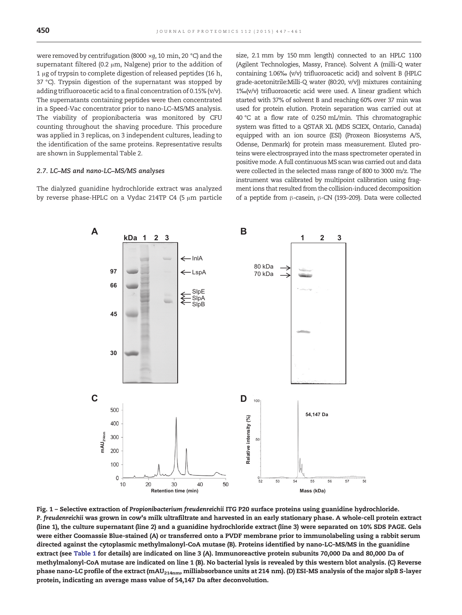<span id="page-3-0"></span>were removed by centrifugation (8000  $\times$ g, 10 min, 20 °C) and the supernatant filtered (0.2  $\mu$ m, Nalgene) prior to the addition of 1 μg of trypsin to complete digestion of released peptides (16 h, 37 °C). Trypsin digestion of the supernatant was stopped by adding trifluoroacetic acid to a final concentration of 0.15% (v/v). The supernatants containing peptides were then concentrated in a Speed-Vac concentrator prior to nano-LC–MS/MS analysis. The viability of propionibacteria was monitored by CFU counting throughout the shaving procedure. This procedure was applied in 3 replicas, on 3 independent cultures, leading to the identification of the same proteins. Representative results are shown in Supplemental Table 2.

#### 2.7. LC–MS and nano-LC–MS/MS analyses

The dialyzed guanidine hydrochloride extract was analyzed by reverse phase-HPLC on a Vydac 214TP C4 (5 μm particle size, 2.1 mm by 150 mm length) connected to an HPLC 1100 (Agilent Technologies, Massy, France). Solvent A (milli-Q water containing 1.06‰ (v/v) trifluoroacetic acid) and solvent B (HPLC grade-acetonitrile:Milli-Q water (80:20, v/v)) mixtures containing 1‰(v/v) trifluoroacetic acid were used. A linear gradient which started with 37% of solvent B and reaching 60% over 37 min was used for protein elution. Protein separation was carried out at 40 °C at a flow rate of 0.250 mL/min. This chromatographic system was fitted to a QSTAR XL (MDS SCIEX, Ontario, Canada) equipped with an ion source (ESI) (Proxeon Biosystems A/S, Odense, Denmark) for protein mass measurement. Eluted proteins were electrosprayed into the mass spectrometer operated in positive mode. A full continuous MS scan was carried out and data were collected in the selected mass range of 800 to 3000 m/z. The instrument was calibrated by multipoint calibration using fragment ions that resulted from the collision-induced decomposition of a peptide from β-casein, β-CN (193–209). Data were collected



Fig. 1 – Selective extraction of Propionibacterium freudenreichii ITG P20 surface proteins using guanidine hydrochloride. P. freudenreichii was grown in cow's milk ultrafiltrate and harvested in an early stationary phase. A whole-cell protein extract (line 1), the culture supernatant (line 2) and a guanidine hydrochloride extract (line 3) were separated on 10% SDS PAGE. Gels were either Coomassie Blue-stained (A) or transferred onto a PVDF membrane prior to immunolabeling using a rabbit serum directed against the cytoplasmic methylmalonyl-CoA mutase (B). Proteins identified by nano-LC–MS/MS in the guanidine extract (see [Table 1](#page-7-0) for details) are indicated on line 3 (A). Immunoreactive protein subunits 70,000 Da and 80,000 Da of methylmalonyl-CoA mutase are indicated on line 1 (B). No bacterial lysis is revealed by this western blot analysis. (C) Reverse phase nano-LC profile of the extract (mAU<sub>214nm</sub>, milliabsorbance units at 214 nm). (D) ESI-MS analysis of the major slpB S-layer protein, indicating an average mass value of 54,147 Da after deconvolution.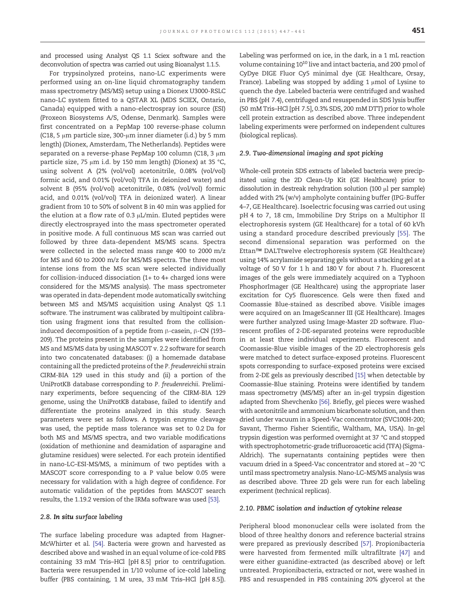and processed using Analyst QS 1.1 Sciex software and the deconvolution of spectra was carried out using Bioanalyst 1.1.5.

For trypsinolyzed proteins, nano-LC experiments were performed using an on-line liquid chromatography tandem mass spectrometry (MS/MS) setup using a Dionex U3000-RSLC nano-LC system fitted to a QSTAR XL (MDS SCIEX, Ontario, Canada) equipped with a nano-electrospray ion source (ESI) (Proxeon Biosystems A/S, Odense, Denmark). Samples were first concentrated on a PepMap 100 reverse-phase column (C18, 5 μm particle size, 300-μm inner diameter (i.d.) by 5 mm length) (Dionex, Amsterdam, The Netherlands). Peptides were separated on a reverse-phase PepMap 100 column (C18, 3 μm particle size, 75 μm i.d. by 150 mm length) (Dionex) at 35 °C, using solvent A (2% (vol/vol) acetonitrile, 0.08% (vol/vol) formic acid, and 0.01% (vol/vol) TFA in deionized water) and solvent B (95% (vol/vol) acetonitrile, 0.08% (vol/vol) formic acid, and 0.01% (vol/vol) TFA in deionized water). A linear gradient from 10 to 50% of solvent B in 40 min was applied for the elution at a flow rate of 0.3  $\mu$ L/min. Eluted peptides were directly electrosprayed into the mass spectrometer operated in positive mode. A full continuous MS scan was carried out followed by three data-dependent MS/MS scans. Spectra were collected in the selected mass range 400 to 2000 m/z for MS and 60 to 2000 m/z for MS/MS spectra. The three most intense ions from the MS scan were selected individually for collision-induced dissociation (1+ to 4+ charged ions were considered for the MS/MS analysis). The mass spectrometer was operated in data-dependent mode automatically switching between MS and MS/MS acquisition using Analyst QS 1.1 software. The instrument was calibrated by multipoint calibration using fragment ions that resulted from the collisioninduced decomposition of a peptide from β-casein, β-CN (193– 209). The proteins present in the samples were identified from MS and MS/MS data by using MASCOT v. 2.2 software for search into two concatenated databases: (i) a homemade database containing all the predicted proteins of the P. freudenreichii strain CIRM-BIA 129 used in this study and (ii) a portion of the UniProtKB database corresponding to P. freudenreichii. Preliminary experiments, before sequencing of the CIRM-BIA 129 genome, using the UniProtKB database, failed to identify and differentiate the proteins analyzed in this study. Search parameters were set as follows. A trypsin enzyme cleavage was used, the peptide mass tolerance was set to 0.2 Da for both MS and MS/MS spectra, and two variable modifications (oxidation of methionine and deamidation of asparagine and glutamine residues) were selected. For each protein identified in nano-LC–ESI-MS/MS, a minimum of two peptides with a MASCOT score corresponding to a P value below 0.05 were necessary for validation with a high degree of confidence. For automatic validation of the peptides from MASCOT search results, the 1.19.2 version of the IRMa software was used [\[53\].](#page-13-0)

#### 2.8. In situ surface labeling

The surface labeling procedure was adapted from Hagner-McWhirter et al. [\[54\]](#page-13-0). Bacteria were grown and harvested as described above and washed in an equal volume of ice-cold PBS containing 33 mM Tris–HCl [pH 8.5] prior to centrifugation. Bacteria were resuspended in 1/10 volume of ice-cold labeling buffer (PBS containing, 1 M urea, 33 mM Tris–HCl [pH 8.5]). Labeling was performed on ice, in the dark, in a 1 mL reaction volume containing  $10^{10}$  live and intact bacteria, and 200 pmol of CyDye DIGE Fluor Cy5 minimal dye (GE Healthcare, Orsay, France). Labeling was stopped by adding  $1 \mu$ mol of Lysine to quench the dye. Labeled bacteria were centrifuged and washed in PBS (pH 7.4), centrifuged and resuspended in SDS lysis buffer (50 mM Tris–HCl [pH 7.5], 0.3% SDS, 200 mM DTT) prior to whole cell protein extraction as described above. Three independent labeling experiments were performed on independent cultures (biological replicas).

#### 2.9. Two-dimensional imaging and spot picking

Whole-cell protein SDS extracts of labeled bacteria were precipitated using the 2D Clean-Up Kit (GE Healthcare) prior to dissolution in destreak rehydration solution (100 μl per sample) added with 2% (w/v) ampholyte containing buffer (IPG-Buffer 4–7, GE Healthcare). Isoelectric focusing was carried out using pH 4 to 7, 18 cm, Immobiline Dry Strips on a Multiphor II electrophoresis system (GE Healthcare) for a total of 60 kVh using a standard procedure described previously [\[55\].](#page-13-0) The second dimensional separation was performed on the Ettan™ DALTtwelve electrophoresis system (GE Healthcare) using 14% acrylamide separating gels without a stacking gel at a voltage of 50 V for 1 h and 180 V for about 7 h. Fluorescent images of the gels were immediately acquired on a Typhoon PhosphorImager (GE Healthcare) using the appropriate laser excitation for Cy5 fluorescence. Gels were then fixed and Coomassie Blue-stained as described above. Visible images were acquired on an ImageScanner III (GE Healthcare). Images were further analyzed using Image-Master 2D software. Fluorescent profiles of 2-DE-separated proteins were reproducible in at least three individual experiments. Fluorescent and Coomassie-Blue visible images of the 2D electrophoresis gels were matched to detect surface-exposed proteins. Fluorescent spots corresponding to surface-exposed proteins were excised from 2-DE gels as previously described [\[15\]](#page-12-0) when detectable by Coomassie-Blue staining. Proteins were identified by tandem mass spectrometry (MS/MS) after an in-gel trypsin digestion adapted from Shevchenko [\[56\].](#page-13-0) Briefly, gel pieces were washed with acetonitrile and ammonium bicarbonate solution, and then dried under vacuum in a Speed-Vac concentrator (SVC100H-200; Savant, Thermo Fisher Scientific, Waltham, MA, USA). In-gel trypsin digestion was performed overnight at 37 °C and stopped with spectrophotometric-grade trifluoroacetic acid (TFA) (Sigma-Aldrich). The supernatants containing peptides were then vacuum dried in a Speed-Vac concentrator and stored at −20 °C until mass spectrometry analysis. Nano-LC–MS/MS analysis was as described above. Three 2D gels were run for each labeling experiment (technical replicas).

#### 2.10. PBMC isolation and induction of cytokine release

Peripheral blood mononuclear cells were isolated from the blood of three healthy donors and reference bacterial strains were prepared as previously described [\[57\].](#page-13-0) Propionibacteria were harvested from fermented milk ultrafiltrate [\[47\]](#page-13-0) and were either guanidine-extracted (as described above) or left untreated. Propionibacteria, extracted or not, were washed in PBS and resuspended in PBS containing 20% glycerol at the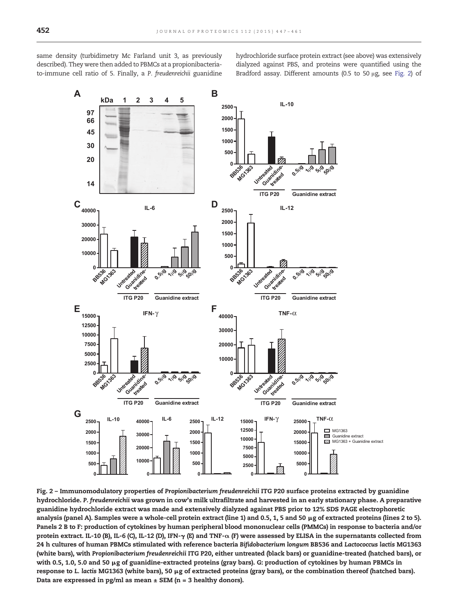<span id="page-5-0"></span>same density (turbidimetry Mc Farland unit 3, as previously described). They were then added to PBMCs at a propionibacteriato-immune cell ratio of 5. Finally, a P. freudenreichii guanidine hydrochloride surface protein extract (see above) was extensively dialyzed against PBS, and proteins were quantified using the Bradford assay. Different amounts (0.5 to 50 μg, see Fig. 2) of



Fig. 2 – Immunomodulatory properties of Propionibacterium freudenreichii ITG P20 surface proteins extracted by guanidine hydrochloride. P. freudenreichii was grown in cow's milk ultrafiltrate and harvested in an early stationary phase. A preparative guanidine hydrochloride extract was made and extensively dialyzed against PBS prior to 12% SDS PAGE electrophoretic analysis (panel A). Samples were a whole-cell protein extract (line 1) and 0.5, 1, 5 and 50 μg of extracted proteins (lines 2 to 5). Panels 2 B to F: production of cytokines by human peripheral blood mononuclear cells (PMMCs) in response to bacteria and/or protein extract. IL-10 (B), IL-6 (C), IL-12 (D), IFN-γ (E) and TNF-α (F) were assessed by ELISA in the supernatants collected from 24 h cultures of human PBMCs stimulated with reference bacteria Bifidobacterium longum BB536 and Lactococcus lactis MG1363 (white bars), with Propionibacterium freudenreichii ITG P20, either untreated (black bars) or guanidine-treated (hatched bars), or with 0.5, 1.0, 5.0 and 50 μg of guanidine-extracted proteins (gray bars). G: production of cytokines by human PBMCs in response to L. lactis MG1363 (white bars), 50 μg of extracted proteins (gray bars), or the combination thereof (hatched bars). Data are expressed in pg/ml as mean  $\pm$  SEM (n = 3 healthy donors).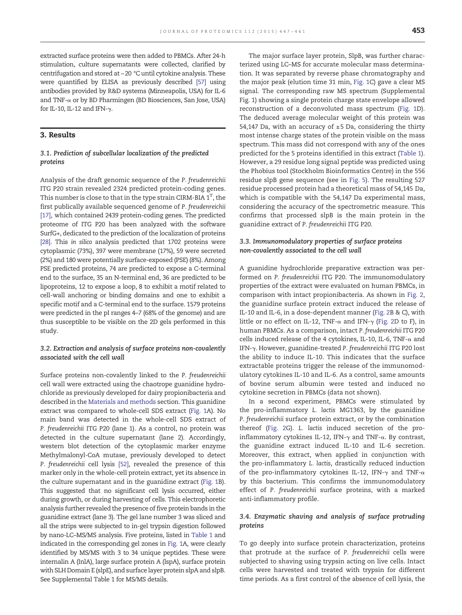extracted surface proteins were then added to PBMCs. After 24-h stimulation, culture supernatants were collected, clarified by centrifugation and stored at −20 °C until cytokine analysis. These were quantified by ELISA as previously described [\[57\]](#page-13-0) using antibodies provided by R&D systems (Minneapolis, USA) for IL-6 and TNF-α or by BD Pharmingen (BD Biosciences, San Jose, USA) for IL-10, IL-12 and IFN-γ.

# 3. Results

#### 3.1. Prediction of subcellular localization of the predicted proteins

Analysis of the draft genomic sequence of the P. freudenreichii ITG P20 strain revealed 2324 predicted protein-coding genes. This number is close to that in the type strain CIRM-BIA  $1<sup>T</sup>$ , the first publically available sequenced genome of P. freudenreichii [\[17\],](#page-12-0) which contained 2439 protein-coding genes. The predicted proteome of ITG P20 has been analyzed with the software SurfG+, dedicated to the prediction of the localization of proteins [\[28\]](#page-12-0). This in silico analysis predicted that 1702 proteins were cytoplasmic (73%), 397 were membrane (17%), 59 were secreted (2%) and 180 were potentially surface-exposed (PSE) (8%). Among PSE predicted proteins, 74 are predicted to expose a C-terminal end to the surface, 35 an N-terminal end, 36 are predicted to be lipoproteins, 12 to expose a loop, 8 to exhibit a motif related to cell-wall anchoring or binding domains and one to exhibit a specific motif and a C-terminal end to the surface. 1579 proteins were predicted in the pI ranges 4–7 (68% of the genome) and are thus susceptible to be visible on the 2D gels performed in this study.

# 3.2. Extraction and analysis of surface proteins non-covalently associated with the cell wall

Surface proteins non-covalently linked to the P. freudenreichii cell wall were extracted using the chaotrope guanidine hydrochloride as previously developed for dairy propionibacteria and described in the [Materials and methods](#page-2-0) section. This guanidine extract was compared to whole-cell SDS extract ([Fig. 1](#page-3-0)A). No main band was detected in the whole-cell SDS extract of P. freudenreichii ITG P20 (lane 1). As a control, no protein was detected in the culture supernatant (lane 2). Accordingly, western blot detection of the cytoplasmic marker enzyme Methylmalonyl-CoA mutase, previously developed to detect P. freudenreichii cell lysis [\[52\],](#page-13-0) revealed the presence of this marker only in the whole-cell protein extract, yet its absence in the culture supernatant and in the guanidine extract [\(Fig. 1B](#page-3-0)). This suggested that no significant cell lysis occurred, either during growth, or during harvesting of cells. This electrophoretic analysis further revealed the presence of five protein bands in the guanidine extract (lane 3). The gel lane number 3 was sliced and all the strips were subjected to in-gel trypsin digestion followed by nano-LC–MS/MS analysis. Five proteins, listed in [Table 1](#page-7-0) and indicated in the corresponding gel zones in [Fig. 1A](#page-3-0), were clearly identified by MS/MS with 3 to 34 unique peptides. These were internalin A (InlA), large surface protein A (lspA), surface protein with SLH Domain E (slpE), and surface layer protein slpA and slpB. See Supplemental Table 1 for MS/MS details.

The major surface layer protein, SlpB, was further characterized using LC–MS for accurate molecular mass determination. It was separated by reverse phase chromatography and the major peak (elution time 31 min, [Fig. 1C](#page-3-0)) gave a clear MS signal. The corresponding raw MS spectrum (Supplemental Fig. 1) showing a single protein charge state envelope allowed reconstruction of a deconvoluted mass spectrum [\(Fig. 1](#page-3-0)D). The deduced average molecular weight of this protein was 54,147 Da, with an accuracy of  $\pm$ 5 Da, considering the thirty most intense charge states of the protein visible on the mass spectrum. This mass did not correspond with any of the ones predicted for the 5 proteins identified in this extract [\(Table 1](#page-7-0)). However, a 29 residue long signal peptide was predicted using the Phobius tool (Stockholm Bioinformatics Centre) in the 556 residue slpB gene sequence (see in [Fig. 5](#page-10-0)). The resulting 527 residue processed protein had a theoretical mass of 54,145 Da, which is compatible with the 54,147 Da experimental mass, considering the accuracy of the spectrometric measure. This confirms that processed slpB is the main protein in the guanidine extract of P. freudenreichii ITG P20.

#### 3.3. Immunomodulatory properties of surface proteins non-covalently associated to the cell wall

A guanidine hydrochloride preparative extraction was performed on P. freudenreichii ITG P20. The immunomodulatory properties of the extract were evaluated on human PBMCs, in comparison with intact propionibacteria. As shown in [Fig. 2,](#page-5-0) the guanidine surface protein extract induced the release of IL-10 and IL-6, in a dose-dependent manner ([Fig. 2B](#page-5-0) & C), with little or no effect on IL-12, TNF- $\alpha$  and IFN- $\gamma$  ([Fig. 2](#page-5-0)D to F), in human PBMCs. As a comparison, intact P. freudenreichii ITG P20 cells induced release of the 4 cytokines, IL-10, IL-6, TNF- $\alpha$  and IFN-γ. However, guanidine-treated P. freudenreichii ITG P20 lost the ability to induce IL-10. This indicates that the surface extractable proteins trigger the release of the immunomodulatory cytokines IL-10 and IL-6. As a control, same amounts of bovine serum albumin were tested and induced no cytokine secretion in PBMCs (data not shown).

In a second experiment, PBMCs were stimulated by the pro-inflammatory L. lactis MG1363, by the guanidine P. freudenreichii surface protein extract, or by the combination thereof [\(Fig. 2G](#page-5-0)). L. lactis induced secretion of the proinflammatory cytokines IL-12, IFN-γ and TNF-α. By contrast, the guanidine extract induced IL-10 and IL-6 secretion. Moreover, this extract, when applied in conjunction with the pro-inflammatory L. lactis, drastically reduced induction of the pro-inflammatory cytokines IL-12, IFN- $\gamma$  and TNF- $\alpha$ by this bacterium. This confirms the immunomodulatory effect of P. freudenreichii surface proteins, with a marked anti-inflammatory profile.

# 3.4. Enzymatic shaving and analysis of surface protruding proteins

To go deeply into surface protein characterization, proteins that protrude at the surface of P. freudenreichii cells were subjected to shaving using trypsin acting on live cells. Intact cells were harvested and treated with trypsin for different time periods. As a first control of the absence of cell lysis, the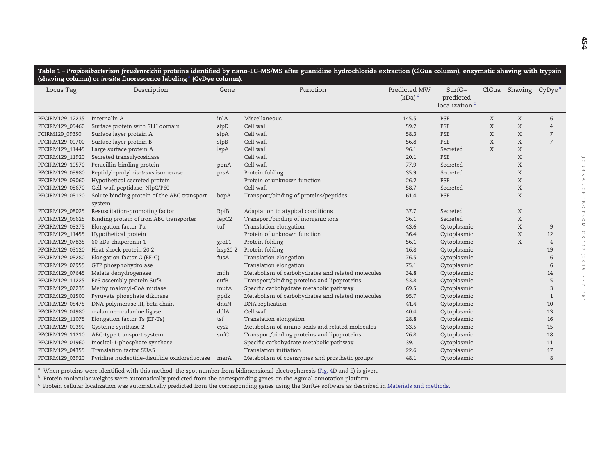<span id="page-7-0"></span>

| Table 1 – Propionibacterium freudenreichii proteins identified by nano-LC–MS/MS after guanidine hydrochloride extraction (ClGua column), enzymatic shaving with trypsin<br>(shaving column) or in-situ fluorescence labeling <sup>a</sup> (CyDye column). |                                                       |         |                                                   |                           |                                                    |             |                                  |                |
|-----------------------------------------------------------------------------------------------------------------------------------------------------------------------------------------------------------------------------------------------------------|-------------------------------------------------------|---------|---------------------------------------------------|---------------------------|----------------------------------------------------|-------------|----------------------------------|----------------|
| Locus Tag                                                                                                                                                                                                                                                 | Description                                           | Gene    | Function                                          | Predicted MW<br>$(kDa)^b$ | $SurfG+$<br>predicted<br>localization <sup>c</sup> |             | ClGua Shaving CyDye <sup>a</sup> |                |
| PFCIRM129_12235                                                                                                                                                                                                                                           | Internalin A                                          | inlA    | Miscellaneous                                     | 145.5                     | PSE                                                | X           | X                                | 6              |
| PFCIRM129_05460                                                                                                                                                                                                                                           | Surface protein with SLH domain                       | slpE    | Cell wall                                         | 59.2                      | PSE                                                | X           | $\mathbf X$                      | $\overline{4}$ |
| FCIRM129 09350                                                                                                                                                                                                                                            | Surface layer protein A                               | slpA    | Cell wall                                         | 58.3                      | PSE                                                | X           | X                                | $\overline{7}$ |
| PFCIRM129 00700                                                                                                                                                                                                                                           | Surface layer protein B                               | slpB    | Cell wall                                         | 56.8                      | PSE                                                | X           | X                                | $\overline{7}$ |
| PFCIRM129_11445                                                                                                                                                                                                                                           | Large surface protein A                               | lspA    | Cell wall                                         | 96.1                      | Secreted                                           | $\mathbf X$ | X                                |                |
| PFCIRM129_11920                                                                                                                                                                                                                                           | Secreted transglycosidase                             |         | Cell wall                                         | 20.1                      | PSE                                                |             | X                                |                |
| PFCIRM129_10570                                                                                                                                                                                                                                           | Penicillin-binding protein                            | ponA    | Cell wall                                         | 77.9                      | Secreted                                           |             | X                                |                |
| PFCIRM129_09980                                                                                                                                                                                                                                           | Peptidyl-prolyl cis-trans isomerase                   | prsA    | Protein folding                                   | 35.9                      | Secreted                                           |             | X                                |                |
| PFCIRM129_09060                                                                                                                                                                                                                                           | Hypothetical secreted protein                         |         | Protein of unknown function                       | 26.2                      | PSE                                                |             | X                                |                |
| PFCIRM129_08670                                                                                                                                                                                                                                           | Cell-wall peptidase, NlpC/P60                         |         | Cell wall                                         | 58.7                      | Secreted                                           |             | X                                |                |
| PFCIRM129_08120                                                                                                                                                                                                                                           | Solute binding protein of the ABC transport<br>system | bopA    | Transport/binding of proteins/peptides            | 61.4                      | PSE                                                |             | X                                |                |
| PFCIRM129_08025                                                                                                                                                                                                                                           | Resuscitation-promoting factor                        | RpfB    | Adaptation to atypical conditions                 | 37.7                      | Secreted                                           |             | X                                |                |
| PFCIRM129 05625                                                                                                                                                                                                                                           | Binding protein of iron ABC transporter               | fepC2   | Transport/binding of inorganic ions               | 36.1                      | Secreted                                           |             | X                                |                |
| PFCIRM129_08275                                                                                                                                                                                                                                           | Elongation factor Tu                                  | tuf     | Translation elongation                            | 43.6                      | Cytoplasmic                                        |             | X                                | 9              |
| PFCIRM129_11455                                                                                                                                                                                                                                           | Hypothetical protein                                  |         | Protein of unknown function                       | 36.4                      | Cytoplasmic                                        |             | X                                | 12             |
| PFCIRM129_07835                                                                                                                                                                                                                                           | 60 kDa chaperonin 1                                   | groL1   | Protein folding                                   | 56.1                      | Cytoplasmic                                        |             | X                                | $\overline{4}$ |
| PFCIRM129_03120                                                                                                                                                                                                                                           | Heat shock protein 20 2                               | hsp20 2 | Protein folding                                   | 16.8                      | Cytoplasmic                                        |             |                                  | 19             |
| PFCIRM129_08280                                                                                                                                                                                                                                           | Elongation factor G (EF-G)                            | fusA    | Translation elongation                            | 76.5                      | Cytoplasmic                                        |             |                                  | 6              |
| PFCIRM129_07955                                                                                                                                                                                                                                           | GTP phosphohydrolase                                  |         | Translation elongation                            | 75.1                      | Cytoplasmic                                        |             |                                  | 6              |
| PFCIRM129_07645                                                                                                                                                                                                                                           | Malate dehydrogenase                                  | mdh     | Metabolism of carbohydrates and related molecules | 34.8                      | Cytoplasmic                                        |             |                                  | 14             |
| PFCIRM129_11225                                                                                                                                                                                                                                           | FeS assembly protein SufB                             | sufB    | Transport/binding proteins and lipoproteins       | 53.8                      | Cytoplasmic                                        |             |                                  | 5              |
| PFCIRM129_07235                                                                                                                                                                                                                                           | Methylmalonyl-CoA mutase                              | mutA    | Specific carbohydrate metabolic pathway           | 69.5                      | Cytoplasmic                                        |             |                                  | 3              |
| PFCIRM129_01500                                                                                                                                                                                                                                           | Pyruvate phosphate dikinase                           | ppdk    | Metabolism of carbohydrates and related molecules | 95.7                      | Cytoplasmic                                        |             |                                  | $\mathbf{1}$   |
| PFCIRM129_05475                                                                                                                                                                                                                                           | DNA polymerase III, beta chain                        | dnaN    | DNA replication                                   | 41.4                      | Cytoplasmic                                        |             |                                  | 10             |
| PFCIRM129_04980                                                                                                                                                                                                                                           | D-alanine-D-alanine ligase                            | ddlA    | Cell wall                                         | 40.4                      | Cytoplasmic                                        |             |                                  | 13             |
| PFCIRM129_11075                                                                                                                                                                                                                                           | Elongation factor Ts (EF-Ts)                          | $t$ sf  | Translation elongation                            | 28.8                      | Cytoplasmic                                        |             |                                  | 16             |
| PFCIRM129_00390                                                                                                                                                                                                                                           | Cysteine synthase 2                                   | cys2    | Metabolism of amino acids and related molecules   | 33.5                      | Cytoplasmic                                        |             |                                  | 15             |
| PFCIRM129_11210                                                                                                                                                                                                                                           | ABC-type transport system                             | sufC    | Transport/binding proteins and lipoproteins       | 26.8                      | Cytoplasmic                                        |             |                                  | 18             |
| PFCIRM129_01960                                                                                                                                                                                                                                           | Inositol-1-phosphate synthase                         |         | Specific carbohydrate metabolic pathway           | 39.1                      | Cytoplasmic                                        |             |                                  | 11             |
| PFCIRM129_04355                                                                                                                                                                                                                                           | Translation factor SUA5                               |         | Translation initiation                            | 22.6                      | Cytoplasmic                                        |             |                                  | 17             |
| PFCIRM129 03920                                                                                                                                                                                                                                           | Pyridine nucleotide-disulfide oxidoreductase merA     |         | Metabolism of coenzymes and prosthetic groups     | 48.1                      | Cytoplasmic                                        |             |                                  | 8              |

<sup>a</sup> When proteins were identified with this method, the spot number from bidimensional electrophoresis ([Fig.](#page-9-0) 4D and E) is given.<br><sup>b</sup> Protein molecular weights were automatically predicted from the corresponding genes on th

 $\text{c}$  Protein cellular localization was automatically predicted from the corresponding genes using the SurfG+ software as described in [Materials](#page-2-0) and methods.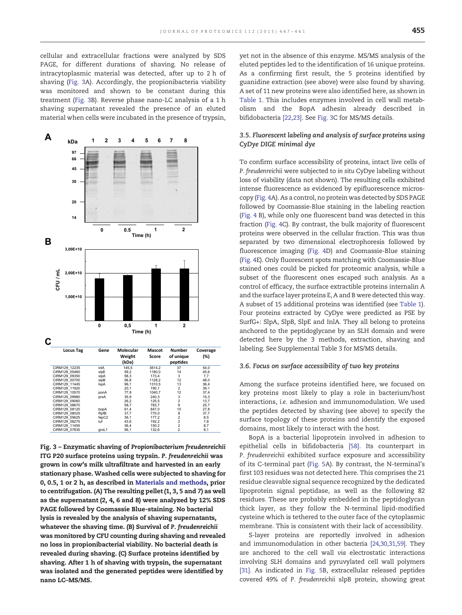cellular and extracellular fractions were analyzed by SDS PAGE, for different durations of shaving. No release of intracytoplasmic material was detected, after up to 2 h of shaving (Fig. 3A). Accordingly, the propionibacteria viability was monitored and shown to be constant during this treatment (Fig. 3B). Reverse phase nano-LC analysis of a 1 h shaving supernatant revealed the presence of an eluted material when cells were incubated in the presence of trypsin,



Fig. 3 – Enzymatic shaving of Propionibacterium freudenreichii ITG P20 surface proteins using trypsin. P. freudenreichii was grown in cow's milk ultrafiltrate and harvested in an early stationary phase. Washed cells were subjected to shaving for 0, 0.5, 1 or 2 h, as described in [Materials and methods,](#page-2-0) prior to centrifugation. (A) The resulting pellet (1, 3, 5 and 7) as well as the supernatant (2, 4, 6 and 8) were analyzed by 12% SDS PAGE followed by Coomassie Blue-staining. No bacterial lysis is revealed by the analysis of shaving supernatants, whatever the shaving time. (B) Survival of P. freudenreichii was monitored by CFU counting during shaving and revealed no loss in propionibacterial viability. No bacterial death is revealed during shaving. (C) Surface proteins identified by shaving. After 1 h of shaving with trypsin, the supernatant was isolated and the generated peptides were identified by nano LC–MS/MS.

yet not in the absence of this enzyme. MS/MS analysis of the eluted peptides led to the identification of 16 unique proteins. As a confirming first result, the 5 proteins identified by guanidine extraction (see above) were also found by shaving. A set of 11 new proteins were also identified here, as shown in [Table 1.](#page-7-0) This includes enzymes involved in cell wall metabolism and the BopA adhesin already described in bifidobacteria [\[22,23\]](#page-12-0). See Fig. 3C for MS/MS details.

# 3.5. Fluorescent labeling and analysis of surface proteins using CyDye DIGE minimal dye

To confirm surface accessibility of proteins, intact live cells of P. freudenreichii were subjected to in situ CyDye labeling without loss of viability (data not shown). The resulting cells exhibited intense fluorescence as evidenced by epifluorescence microscopy ([Fig. 4A](#page-9-0)). As a control, no protein was detected by SDS PAGE followed by Coomassie-Blue staining in the labeling reaction [\(Fig. 4](#page-9-0) B), while only one fluorescent band was detected in this fraction ([Fig. 4C](#page-9-0)). By contrast, the bulk majority of fluorescent proteins were observed in the cellular fraction. This was thus separated by two dimensional electrophoresis followed by fluorescence imaging ([Fig. 4](#page-9-0)D) and Coomassie-Blue staining [\(Fig. 4E](#page-9-0)). Only fluorescent spots matching with Coomassie-Blue stained ones could be picked for proteomic analysis, while a subset of the fluorescent ones escaped such analysis. As a control of efficacy, the surface extractible proteins internalin A and the surface layer proteins E, A and B were detected this way. A subset of 15 additional proteins was identified (see [Table 1](#page-7-0)). Four proteins extracted by CyDye were predicted as PSE by SurfG+: SlpA, SlpB, SlpE and InlA. They all belong to proteins anchored to the peptidoglycane by an SLH domain and were detected here by the 3 methods, extraction, shaving and labeling. See Supplemental Table 3 for MS/MS details.

#### 3.6. Focus on surface accessibility of two key proteins

Among the surface proteins identified here, we focused on key proteins most likely to play a role in bacterium/host interactions, i.e. adhesion and immunomodulation. We used the peptides detected by shaving (see above) to specify the surface topology of these proteins and identify the exposed domains, most likely to interact with the host.

BopA is a bacterial lipoprotein involved in adhesion to epithelial cells in bifidobacteria [\[58\]](#page-13-0). Its counterpart in P. freudenreichii exhibited surface exposure and accessibility of its C-terminal part ([Fig. 5A](#page-10-0)). By contrast, the N-terminal's first 103 residues was not detected here. This comprises the 21 residue cleavable signal sequence recognized by the dedicated lipoprotein signal peptidase, as well as the following 82 residues. These are probably embedded in the peptidoglycan thick layer, as they follow the N-terminal lipid-modified cysteine which is tethered to the outer face of the cytoplasmic membrane. This is consistent with their lack of accessibility.

S-layer proteins are reportedly involved in adhesion and immunomodulation in other bacteria [\[24,30,31,59\].](#page-12-0) They are anchored to the cell wall via electrostatic interactions involving SLH domains and pyruvylated cell wall polymers [\[31\]](#page-12-0). As indicated in [Fig. 5](#page-10-0)B, extracellular released peptides covered 49% of P. freudenreichii slpB protein, showing great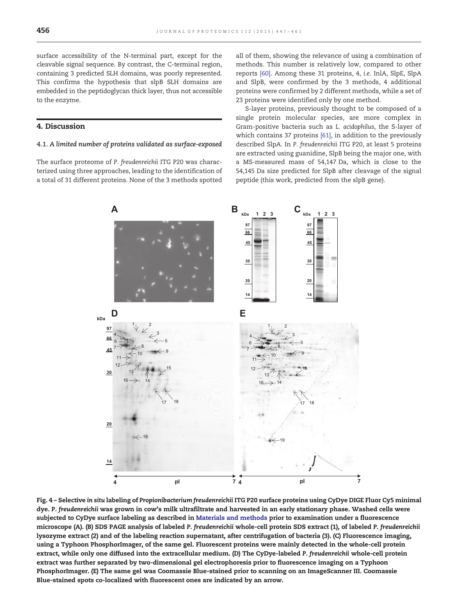<span id="page-9-0"></span>surface accessibility of the N-terminal part, except for the cleavable signal sequence. By contrast, the C-terminal region, containing 3 predicted SLH domains, was poorly represented. This confirms the hypothesis that slpB SLH domains are embedded in the peptidoglycan thick layer, thus not accessible to the enzyme.

# 4. Discussion

## 4.1. A limited number of proteins validated as surface-exposed

The surface proteome of P. freudenreichii ITG P20 was characterized using three approaches, leading to the identification of a total of 31 different proteins. None of the 3 methods spotted all of them, showing the relevance of using a combination of methods. This number is relatively low, compared to other reports [\[60\].](#page-13-0) Among these 31 proteins, 4, i.e. InlA, SlpE, SlpA and SlpB, were confirmed by the 3 methods, 4 additional proteins were confirmed by 2 different methods, while a set of 23 proteins were identified only by one method.

S-layer proteins, previously thought to be composed of a single protein molecular species, are more complex in Gram-positive bacteria such as L. acidophilus, the S-layer of which contains 37 proteins [\[61\],](#page-13-0) in addition to the previously described SlpA. In P. freudenreichii ITG P20, at least 5 proteins are extracted using guanidine, SlpB being the major one, with a MS-measured mass of 54,147 Da, which is close to the 54,145 Da size predicted for SlpB after cleavage of the signal peptide (this work, predicted from the slpB gene).



Fig. 4 – Selective in situ labeling of Propionibacterium freudenreichii ITG P20 surface proteins using CyDye DIGE Fluor Cy5 minimal dye. P. freudenreichii was grown in cow's milk ultrafiltrate and harvested in an early stationary phase. Washed cells were subjected to CyDye surface labeling as described in [Materials and methods](#page-2-0) prior to examination under a fluorescence microscope (A). (B) SDS PAGE analysis of labeled P. freudenreichii whole-cell protein SDS extract (1), of labeled P. freudenreichii lysozyme extract (2) and of the labeling reaction supernatant, after centrifugation of bacteria (3). (C) Fluorescence imaging, using a Typhoon PhosphorImager, of the same gel. Fluorescent proteins were mainly detected in the whole-cell protein extract, while only one diffused into the extracellular medium. (D) The CyDye-labeled P. freudenreichii whole-cell protein extract was further separated by two-dimensional gel electrophoresis prior to fluorescence imaging on a Typhoon PhosphorImager. (E) The same gel was Coomassie Blue-stained prior to scanning on an ImageScanner III. Coomassie Blue-stained spots co-localized with fluorescent ones are indicated by an arrow.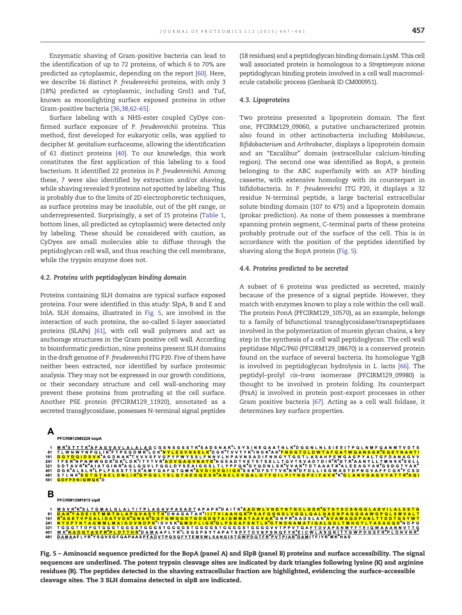<span id="page-10-0"></span>Enzymatic shaving of Gram-positive bacteria can lead to the identification of up to 72 proteins, of which 6 to 70% are predicted as cytoplasmic, depending on the report [\[60\].](#page-13-0) Here, we describe 16 distinct P. freudenreichii proteins, with only 3 (18%) predicted as cytoplasmic, including Grol1 and Tuf, known as moonlighting surface exposed proteins in other Gram-positive bacteria [\[36,38,62](#page-13-0)–65].

Surface labeling with a NHS-ester coupled CyDye confirmed surface exposure of P. freudenreichii proteins. This method, first developed for eukaryotic cells, was applied to decipher M. genitalium surfaceome, allowing the identification of 61 distinct proteins [\[40\].](#page-13-0) To our knowledge, this work constitutes the first application of this labeling to a food bacterium. It identified 22 proteins in P. freudenreichii. Among these, 7 were also identified by extraction and/or shaving, while shaving revealed 9 proteins not spotted by labeling. This is probably due to the limits of 2D electrophoretic techniques, as surface proteins may be insoluble, out of the pH range, or underrepresented. Surprisingly, a set of 15 proteins [\(Table 1,](#page-7-0) bottom lines, all predicted as cytoplasmic) were detected only by labeling. These should be considered with caution, as CyDyes are small molecules able to diffuse through the peptidoglycan cell wall, and thus reaching the cell membrane, while the trypsin enzyme does not.

#### 4.2. Proteins with peptidoglycan binding domain

Proteins containing SLH domains are typical surface exposed proteins. Four were identified in this study: SlpA, B and E and InlA. SLH domains, illustrated in Fig. 5, are involved in the interaction of such proteins, the so-called S-layer associated proteins (SLAPs) [\[61\]](#page-13-0), with cell wall polymers and act as anchorage structures in the Gram positive cell wall. According to bioinformatic prediction, nine proteins present SLH domains in the draft genome of P. freudenreichii ITG P20. Five of them have neither been extracted, nor identified by surface proteomic analysis. They may not be expressed in our growth conditions, or their secondary structure and cell wall-anchoring may prevent these proteins from protruding at the cell surface. Another PSE protein (PFCIRM129\_11920), annotated as a secreted transglycosidase, possesses N-terminal signal peptides (18 residues) and a peptidoglycan binding domain LysM. This cell wall associated protein is homologous to a Streptomyces sviceus peptidoglycan binding protein involved in a cell wall macromolecule catabolic process (Genbank ID CM000951).

#### 4.3. Lipoproteins

Two proteins presented a lipoprotein domain. The first one, PFCIRM129\_09060, a putative uncharacterized protein also found in other actinobacteria including Mobiluncus, Bifidobacterium and Arthrobacter, displays a lipoprotein domain and an "Excalibur" domain (extracellular calcium-binding region). The second one was identified as BopA, a protein belonging to the ABC superfamily with an ATP binding cassette, with extensive homology with its counterpart in bifidobacteria. In P. freudenreichii ITG P20, it displays a 32 residue N-terminal peptide, a large bacterial extracellular solute binding domain (107 to 475) and a lipoprotein domain (prokar prediction). As none of them possesses a membrane spanning protein segment, C-terminal parts of these proteins probably protrude out of the surface of the cell. This is in accordance with the position of the peptides identified by shaving along the BopA protein (Fig. 5).

#### 4.4. Proteins predicted to be secreted

A subset of 6 proteins was predicted as secreted, mainly because of the presence of a signal peptide. However, they match with enzymes known to play a role within the cell wall. The protein PonA (PFCIRM129\_10570), as an example, belongs to a family of bifunctional transglycosidase/transpeptidases involved in the polymerization of murein glycan chains, a key step in the synthesis of a cell wall peptidoglycan. The cell wall peptidase NlpC/P60 (PFCIRM129\_08670) is a conserved protein found on the surface of several bacteria. Its homologue YgjB is involved in peptidoglycan hydrolysis in L. lactis [\[66\]](#page-13-0). The peptidyl–prolyl cis–trans isomerase (PFCIRM129\_09980) is thought to be involved in protein folding. Its counterpart (PrsA) is involved in protein post-export processes in other Gram positive bacteria [\[67\].](#page-13-0) Acting as a cell wall foldase, it determines key surface properties.



Fig. 5 – Aminoacid sequence predicted for the BopA (panel A) and SlpB (panel B) proteins and surface accessibility. The signal sequences are underlined. The potent trypsin cleavage sites are indicated by dark triangles following lysine (K) and arginine residues (R). The peptides detected in the shaving extracellular fraction are highlighted, evidencing the surface-accessible cleavage sites. The 3 SLH domains detected in slpB are indicated.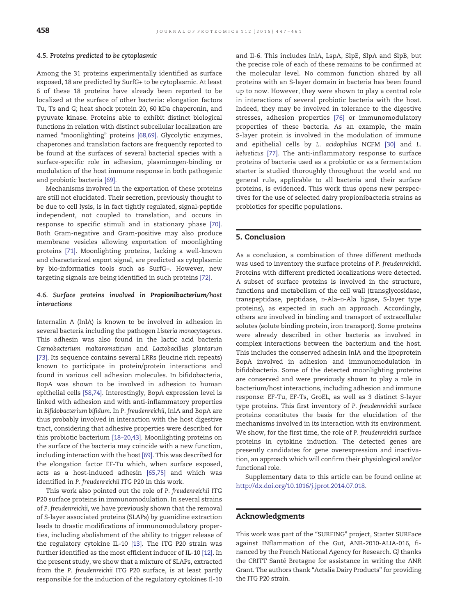## 4.5. Proteins predicted to be cytoplasmic

Among the 31 proteins experimentally identified as surface exposed, 18 are predicted by SurfG+ to be cytoplasmic. At least 6 of these 18 proteins have already been reported to be localized at the surface of other bacteria: elongation factors Tu, Ts and G; heat shock protein 20, 60 kDa chaperonin, and pyruvate kinase. Proteins able to exhibit distinct biological functions in relation with distinct subcellular localization are named "moonlighting" proteins [\[68,69\].](#page-13-0) Glycolytic enzymes, chaperones and translation factors are frequently reported to be found at the surfaces of several bacterial species with a surface-specific role in adhesion, plasminogen-binding or modulation of the host immune response in both pathogenic and probiotic bacteria [\[69\]](#page-13-0).

Mechanisms involved in the exportation of these proteins are still not elucidated. Their secretion, previously thought to be due to cell lysis, is in fact tightly regulated, signal-peptide independent, not coupled to translation, and occurs in response to specific stimuli and in stationary phase [\[70\]](#page-13-0). Both Gram-negative and Gram-positive may also produce membrane vesicles allowing exportation of moonlighting proteins [\[71\].](#page-14-0) Moonlighting proteins, lacking a well-known and characterized export signal, are predicted as cytoplasmic by bio-informatics tools such as SurfG+. However, new targeting signals are being identified in such proteins [\[72\].](#page-14-0)

# 4.6. Surface proteins involved in Propionibacterium/host interactions

Internalin A (InlA) is known to be involved in adhesion in several bacteria including the pathogen Listeria monocytogenes. This adhesin was also found in the lactic acid bacteria Carnobacterium maltaromaticum and Lactobacillus plantarum [\[73\]](#page-14-0). Its sequence contains several LRRs (leucine rich repeats) known to participate in protein/protein interactions and found in various cell adhesion molecules. In bifidobacteria, BopA was shown to be involved in adhesion to human epithelial cells [\[58,74\]](#page-13-0). Interestingly, BopA expression level is linked with adhesion and with anti-inflammatory properties in Bifidobacterium bifidum. In P. freudenreichii, InlA and BopA are thus probably involved in interaction with the host digestive tract, considering that adhesive properties were described for this probiotic bacterium [18–[20,43\].](#page-12-0) Moonlighting proteins on the surface of the bacteria may coincide with a new function, including interaction with the host [\[69\].](#page-13-0) This was described for the elongation factor EF-Tu which, when surface exposed, acts as a host-induced adhesin [\[65,75\]](#page-13-0) and which was identified in P. freudenreichii ITG P20 in this work.

This work also pointed out the role of P. freudenreichii ITG P20 surface proteins in immunomodulation. In several strains of P. freudenreichii, we have previously shown that the removal of S-layer associated proteins (SLAPs) by guanidine extraction leads to drastic modifications of immunomodulatory properties, including abolishment of the ability to trigger release of the regulatory cytokine IL-10 [\[13\].](#page-12-0) The ITG P20 strain was further identified as the most efficient inducer of IL-10 [\[12\]](#page-12-0). In the present study, we show that a mixture of SLAPs, extracted from the P. freudenreichii ITG P20 surface, is at least partly responsible for the induction of the regulatory cytokines Il-10

and Il-6. This includes InlA, LspA, SlpE, SlpA and SlpB, but the precise role of each of these remains to be confirmed at the molecular level. No common function shared by all proteins with an S-layer domain in bacteria has been found up to now. However, they were shown to play a central role in interactions of several probiotic bacteria with the host. Indeed, they may be involved in tolerance to the digestive stresses, adhesion properties [\[76\]](#page-14-0) or immunomodulatory properties of these bacteria. As an example, the main S-layer protein is involved in the modulation of immune and epithelial cells by L. acidophilus NCFM [\[30\]](#page-12-0) and L. helveticus [\[77\]](#page-14-0). The anti-inflammatory response to surface proteins of bacteria used as a probiotic or as a fermentation starter is studied thoroughly throughout the world and no general rule, applicable to all bacteria and their surface proteins, is evidenced. This work thus opens new perspectives for the use of selected dairy propionibacteria strains as probiotics for specific populations.

# 5. Conclusion

As a conclusion, a combination of three different methods was used to inventory the surface proteins of P. freudenreichii. Proteins with different predicted localizations were detected. A subset of surface proteins is involved in the structure, functions and metabolism of the cell wall (transglycosidase, transpeptidase, peptidase, D-Ala–D-Ala ligase, S-layer type proteins), as expected in such an approach. Accordingly, others are involved in binding and transport of extracellular solutes (solute binding protein, iron transport). Some proteins were already described in other bacteria as involved in complex interactions between the bacterium and the host. This includes the conserved adhesin InlA and the lipoprotein BopA involved in adhesion and immunomodulation in bifidobacteria. Some of the detected moonlighting proteins are conserved and were previously shown to play a role in bacterium/host interactions, including adhesion and immune response: EF-Tu, EF-Ts, GroEL, as well as 3 distinct S-layer type proteins. This first inventory of P. freudenreichii surface proteins constitutes the basis for the elucidation of the mechanisms involved in its interaction with its environment. We show, for the first time, the role of P. freudenreichii surface proteins in cytokine induction. The detected genes are presently candidates for gene overexpression and inactivation, an approach which will confirm their physiological and/or functional role.

Supplementary data to this article can be found online at [http://dx.doi.org/10.1016/j.jprot.2014.07.018.](http://dx.doi.org/10.1016/j.jprot.2014.07.018)

# Acknowledgments

This work was part of the "SURFING" project, Starter SURFace against INflammation of the Gut, ANR-2010-ALIA-016, financed by the French National Agency for Research. GJ thanks the CRITT Santé Bretagne for assistance in writing the ANR Grant. The authors thank "Actalia Dairy Products" for providing the ITG P20 strain.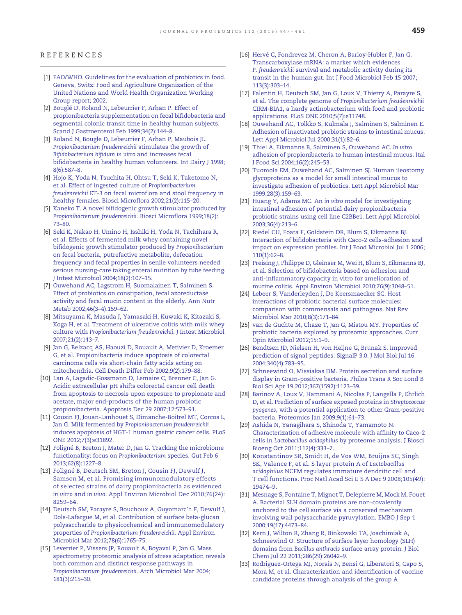#### <span id="page-12-0"></span>REFERENCES

- [1] [FAO/WHO. Guidelines for the evaluation of probiotics in food.](http://refhub.elsevier.com/S1874-3919(14)00379-0/rf0375) [Geneva, Switz: Food and Agriculture Organization of the](http://refhub.elsevier.com/S1874-3919(14)00379-0/rf0375) [United Nations and World Health Organization Working](http://refhub.elsevier.com/S1874-3919(14)00379-0/rf0375) [Group report; 2002.](http://refhub.elsevier.com/S1874-3919(14)00379-0/rf0375)
- [2] [Bouglé D, Roland N, Lebeurrier F, Arhan P. Effect of](http://refhub.elsevier.com/S1874-3919(14)00379-0/rf0005) [propionibacteria supplementation on fecal bifidobacteria and](http://refhub.elsevier.com/S1874-3919(14)00379-0/rf0005) [segmental colonic transit time in healthy human subjects.](http://refhub.elsevier.com/S1874-3919(14)00379-0/rf0005) [Scand J Gastroenterol Feb 1999;34\(2\):144](http://refhub.elsevier.com/S1874-3919(14)00379-0/rf0005)–8.
- [3] [Roland N, Bougle D, Lebeurrier F, Arhan P, Maubois JL.](http://refhub.elsevier.com/S1874-3919(14)00379-0/rf0010) [Propionibacterium freudenreichii](http://refhub.elsevier.com/S1874-3919(14)00379-0/rf0010) stimulates the growth of [Bifidobacterium bifidum in vitro](http://refhub.elsevier.com/S1874-3919(14)00379-0/rf0010) and increases fecal [bifidobacteria in healthy human volunteers. Int Dairy J 1998;](http://refhub.elsevier.com/S1874-3919(14)00379-0/rf0010) [8\(6\):587](http://refhub.elsevier.com/S1874-3919(14)00379-0/rf0010)–8.
- [4] [Hojo K, Yoda N, Tsuchita H, Ohtsu T, Seki K, Taketomo N,](http://refhub.elsevier.com/S1874-3919(14)00379-0/rf0015) [et al. Effect of ingested culture of](http://refhub.elsevier.com/S1874-3919(14)00379-0/rf0015) Propionibacterium freudenreichii [ET-3 on fecal microflora and stool frequency in](http://refhub.elsevier.com/S1874-3919(14)00379-0/rf0015) [healthy females. Biosci Microflora 2002;21\(2\):115](http://refhub.elsevier.com/S1874-3919(14)00379-0/rf0015)–20.
- [5] [Kaneko T. A novel bifidogenic growth stimulator produced by](http://refhub.elsevier.com/S1874-3919(14)00379-0/rf0020) [Propionibacterium freudenreichii](http://refhub.elsevier.com/S1874-3919(14)00379-0/rf0020). Biosci Microflora 1999;18(2): 73–[80.](http://refhub.elsevier.com/S1874-3919(14)00379-0/rf0020)
- [6] [Seki K, Nakao H, Umino H, Isshiki H, Yoda N, Tachihara R,](http://refhub.elsevier.com/S1874-3919(14)00379-0/rf0025) [et al. Effects of fermented milk whey containing novel](http://refhub.elsevier.com/S1874-3919(14)00379-0/rf0025) [bifidogenic growth stimulator produced by](http://refhub.elsevier.com/S1874-3919(14)00379-0/rf0025) Propionibacterium [on fecal bacteria, putrefactive metabolite, defecation](http://refhub.elsevier.com/S1874-3919(14)00379-0/rf0025) [frequency and fecal properties in senile volunteers needed](http://refhub.elsevier.com/S1874-3919(14)00379-0/rf0025) [serious nursing-care taking enteral nutrition by tube feeding.](http://refhub.elsevier.com/S1874-3919(14)00379-0/rf0025) [J Intest Microbiol 2004;18\(2\):107](http://refhub.elsevier.com/S1874-3919(14)00379-0/rf0025)–15.
- [7] [Ouwehand AC, Lagstrom H, Suomalainen T, Salminen S.](http://refhub.elsevier.com/S1874-3919(14)00379-0/rf0030) [Effect of probiotics on constipation, fecal azoreductase](http://refhub.elsevier.com/S1874-3919(14)00379-0/rf0030) [activity and fecal mucin content in the elderly. Ann Nutr](http://refhub.elsevier.com/S1874-3919(14)00379-0/rf0030) [Metab 2002;46\(3](http://refhub.elsevier.com/S1874-3919(14)00379-0/rf0030)–4):159–62.
- [8] [Mitsuyama K, Masuda J, Yamasaki H, Kuwaki K, Kitazaki S,](http://refhub.elsevier.com/S1874-3919(14)00379-0/rf0035) [Koga H, et al. Treatment of ulcerative colitis with milk whey](http://refhub.elsevier.com/S1874-3919(14)00379-0/rf0035) culture with [Propionibacterium freudenreichii](http://refhub.elsevier.com/S1874-3919(14)00379-0/rf0035). J Intest Microbiol [2007;21\(2\):143](http://refhub.elsevier.com/S1874-3919(14)00379-0/rf0035)–7.
- [9] [Jan G, Belzacq AS, Haouzi D, Rouault A, Metivier D, Kroemer](http://refhub.elsevier.com/S1874-3919(14)00379-0/rf0040) [G, et al. Propionibacteria induce apoptosis of colorectal](http://refhub.elsevier.com/S1874-3919(14)00379-0/rf0040) [carcinoma cells via short-chain fatty acids acting on](http://refhub.elsevier.com/S1874-3919(14)00379-0/rf0040) [mitochondria. Cell Death Differ Feb 2002;9\(2\):179](http://refhub.elsevier.com/S1874-3919(14)00379-0/rf0040)–88.
- [10] [Lan A, Lagadic-Gossmann D, Lemaire C, Brenner C, Jan G.](http://refhub.elsevier.com/S1874-3919(14)00379-0/rf0045) [Acidic extracellular pH shifts colorectal cancer cell death](http://refhub.elsevier.com/S1874-3919(14)00379-0/rf0045) [from apoptosis to necrosis upon exposure to propionate and](http://refhub.elsevier.com/S1874-3919(14)00379-0/rf0045) [acetate, major end-products of the human probiotic](http://refhub.elsevier.com/S1874-3919(14)00379-0/rf0045) [propionibacteria. Apoptosis Dec 29 2007;12:573](http://refhub.elsevier.com/S1874-3919(14)00379-0/rf0045)–91.
- [11] [Cousin FJ, Jouan-Lanhouet S, Dimanche-Boitrel MT, Corcos L,](http://refhub.elsevier.com/S1874-3919(14)00379-0/rf0050) Jan G. Milk fermented by [Propionibacterium freudenreichii](http://refhub.elsevier.com/S1874-3919(14)00379-0/rf0050) [induces apoptosis of HGT-1 human gastric cancer cells. PLoS](http://refhub.elsevier.com/S1874-3919(14)00379-0/rf0050) [ONE 2012;7\(3\):e31892.](http://refhub.elsevier.com/S1874-3919(14)00379-0/rf0050)
- [12] [Foligné B, Breton J, Mater D, Jan G. Tracking the microbiome](http://refhub.elsevier.com/S1874-3919(14)00379-0/rf0055) [functionality: focus on](http://refhub.elsevier.com/S1874-3919(14)00379-0/rf0055) Propionibacterium species. Gut Feb 6 [2013;62\(8\):1227](http://refhub.elsevier.com/S1874-3919(14)00379-0/rf0055)–8.
- [13] [Foligné B, Deutsch SM, Breton J, Cousin FJ, Dewulf J,](http://refhub.elsevier.com/S1874-3919(14)00379-0/rf0060) [Samson M, et al. Promising immunomodulatory effects](http://refhub.elsevier.com/S1874-3919(14)00379-0/rf0060) [of selected strains of dairy propionibacteria as evidenced](http://refhub.elsevier.com/S1874-3919(14)00379-0/rf0060) in vitro and in vivo[. Appl Environ Microbiol Dec 2010;76\(24\):](http://refhub.elsevier.com/S1874-3919(14)00379-0/rf0060) [8259](http://refhub.elsevier.com/S1874-3919(14)00379-0/rf0060)–64.
- [14] [Deutsch SM, Parayre S, Bouchoux A, Guyomarc'h F, Dewulf J,](http://refhub.elsevier.com/S1874-3919(14)00379-0/rf0065) [Dols-Lafargue M, et al. Contribution of surface beta-glucan](http://refhub.elsevier.com/S1874-3919(14)00379-0/rf0065) [polysaccharide to physicochemical and immunomodulatory](http://refhub.elsevier.com/S1874-3919(14)00379-0/rf0065) properties of [Propionibacterium freudenreichii](http://refhub.elsevier.com/S1874-3919(14)00379-0/rf0065). Appl Environ [Microbiol Mar 2012;78\(6\):1765](http://refhub.elsevier.com/S1874-3919(14)00379-0/rf0065)–75.
- [15] [Leverrier P, Vissers JP, Rouault A, Boyaval P, Jan G. Mass](http://refhub.elsevier.com/S1874-3919(14)00379-0/rf0070) [spectrometry proteomic analysis of stress adaptation reveals](http://refhub.elsevier.com/S1874-3919(14)00379-0/rf0070) [both common and distinct response pathways in](http://refhub.elsevier.com/S1874-3919(14)00379-0/rf0070) [Propionibacterium freudenreichii](http://refhub.elsevier.com/S1874-3919(14)00379-0/rf0070). Arch Microbiol Mar 2004; [181\(3\):215](http://refhub.elsevier.com/S1874-3919(14)00379-0/rf0070)–30.
- [16] [Hervé C, Fondrevez M, Cheron A, Barloy-Hubler F, Jan G.](http://refhub.elsevier.com/S1874-3919(14)00379-0/rf0380) [Transcarboxylase mRNA: a marker which evidences](http://refhub.elsevier.com/S1874-3919(14)00379-0/rf0380) P. freudenreichii [survival and metabolic activity during its](http://refhub.elsevier.com/S1874-3919(14)00379-0/rf0380) [transit in the human gut. Int J Food Microbiol Feb 15 2007;](http://refhub.elsevier.com/S1874-3919(14)00379-0/rf0380) [113\(3\):303](http://refhub.elsevier.com/S1874-3919(14)00379-0/rf0380)–14.
- [17] [Falentin H, Deutsch SM, Jan G, Loux V, Thierry A, Parayre S,](http://refhub.elsevier.com/S1874-3919(14)00379-0/rf0080) [et al. The complete genome of](http://refhub.elsevier.com/S1874-3919(14)00379-0/rf0080) Propionibacterium freudenreichii [CIRM-BIA1, a hardy actinobacterium with food and probiotic](http://refhub.elsevier.com/S1874-3919(14)00379-0/rf0080) [applications. PLoS ONE 2010;5\(7\):e11748.](http://refhub.elsevier.com/S1874-3919(14)00379-0/rf0080)
- [18] [Ouwehand AC, Tolkko S, Kulmala J, Salminen S, Salminen E.](http://refhub.elsevier.com/S1874-3919(14)00379-0/rf0085) [Adhesion of inactivated probiotic strains to intestinal mucus.](http://refhub.elsevier.com/S1874-3919(14)00379-0/rf0085) [Lett Appl Microbiol Jul 2000;31\(1\):82](http://refhub.elsevier.com/S1874-3919(14)00379-0/rf0085)–6.
- [19] [Thiel A, Eikmanns B, Salminen S, Ouwehand AC.](http://refhub.elsevier.com/S1874-3919(14)00379-0/rf0090) In vitro [adhesion of propionibacteria to human intestinal mucus. Ital](http://refhub.elsevier.com/S1874-3919(14)00379-0/rf0090) [J Food Sci 2004;16\(2\):245](http://refhub.elsevier.com/S1874-3919(14)00379-0/rf0090)–53.
- [20] [Tuomola EM, Ouwehand AC, Salminen SJ. Human ileostomy](http://refhub.elsevier.com/S1874-3919(14)00379-0/rf0095) [glycoproteins as a model for small intestinal mucus to](http://refhub.elsevier.com/S1874-3919(14)00379-0/rf0095) [investigate adhesion of probiotics. Lett Appl Microbiol Mar](http://refhub.elsevier.com/S1874-3919(14)00379-0/rf0095) [1999;28\(3\):159](http://refhub.elsevier.com/S1874-3919(14)00379-0/rf0095)–63.
- [21] [Huang Y, Adams MC. An](http://refhub.elsevier.com/S1874-3919(14)00379-0/rf0100) in vitro model for investigating [intestinal adhesion of potential dairy propionibacteria](http://refhub.elsevier.com/S1874-3919(14)00379-0/rf0100) [probiotic strains using cell line C2BBe1. Lett Appl Microbiol](http://refhub.elsevier.com/S1874-3919(14)00379-0/rf0100) [2003;36\(4\):213](http://refhub.elsevier.com/S1874-3919(14)00379-0/rf0100)–6.
- [22] [Riedel CU, Foata F, Goldstein DR, Blum S, Eikmanns BJ.](http://refhub.elsevier.com/S1874-3919(14)00379-0/rf0105) [Interaction of bifidobacteria with Caco-2 cells-adhesion and](http://refhub.elsevier.com/S1874-3919(14)00379-0/rf0105) [impact on expression profiles. Int J Food Microbiol Jul 1 2006;](http://refhub.elsevier.com/S1874-3919(14)00379-0/rf0105) [110\(1\):62](http://refhub.elsevier.com/S1874-3919(14)00379-0/rf0105)–8.
- [23] [Preising J, Philippe D, Gleinser M, Wei H, Blum S, Eikmanns BJ,](http://refhub.elsevier.com/S1874-3919(14)00379-0/rf0110) [et al. Selection of bifidobacteria based on adhesion and](http://refhub.elsevier.com/S1874-3919(14)00379-0/rf0110) [anti-inflammatory capacity in vitro for amelioration of](http://refhub.elsevier.com/S1874-3919(14)00379-0/rf0110) [murine colitis. Appl Environ Microbiol 2010;76\(9\):3048](http://refhub.elsevier.com/S1874-3919(14)00379-0/rf0110)–51.
- [24] [Lebeer S, Vanderleyden J, De Keersmaecker SC. Host](http://refhub.elsevier.com/S1874-3919(14)00379-0/rf0115) [interactions of probiotic bacterial surface molecules:](http://refhub.elsevier.com/S1874-3919(14)00379-0/rf0115) [comparison with commensals and pathogens. Nat Rev](http://refhub.elsevier.com/S1874-3919(14)00379-0/rf0115) [Microbiol Mar 2010;8\(3\):171](http://refhub.elsevier.com/S1874-3919(14)00379-0/rf0115)–84.
- [25] [van de Guchte M, Chaze T, Jan G, Mistou MY. Properties of](http://refhub.elsevier.com/S1874-3919(14)00379-0/rf0120) [probiotic bacteria explored by proteomic approaches. Curr](http://refhub.elsevier.com/S1874-3919(14)00379-0/rf0120) [Opin Microbiol 2012;15:1](http://refhub.elsevier.com/S1874-3919(14)00379-0/rf0120)–9.
- [26] [Bendtsen JD, Nielsen H, von Heijne G, Brunak S. Improved](http://refhub.elsevier.com/S1874-3919(14)00379-0/rf0125) [prediction of signal peptides: SignalP 3.0. J Mol Biol Jul 16](http://refhub.elsevier.com/S1874-3919(14)00379-0/rf0125) [2004;340\(4\):783](http://refhub.elsevier.com/S1874-3919(14)00379-0/rf0125)–95.
- [27] [Schneewind O, Missiakas DM. Protein secretion and surface](http://refhub.elsevier.com/S1874-3919(14)00379-0/rf0130) [display in Gram-positive bacteria. Philos Trans R Soc Lond B](http://refhub.elsevier.com/S1874-3919(14)00379-0/rf0130) [Biol Sci Apr 19 2012;367\(1592\):1123](http://refhub.elsevier.com/S1874-3919(14)00379-0/rf0130)–39.
- [28] [Barinov A, Loux V, Hammani A, Nicolas P, Langella P, Ehrlich](http://refhub.elsevier.com/S1874-3919(14)00379-0/rf0135) [D, et al. Prediction of surface exposed proteins in](http://refhub.elsevier.com/S1874-3919(14)00379-0/rf0135) Streptococcus pyogenes[, with a potential application to other Gram-positive](http://refhub.elsevier.com/S1874-3919(14)00379-0/rf0135) [bacteria. Proteomics Jan 2009;9\(1\):61](http://refhub.elsevier.com/S1874-3919(14)00379-0/rf0135)–73.
- [29] [Ashida N, Yanagihara S, Shinoda T, Yamamoto N.](http://refhub.elsevier.com/S1874-3919(14)00379-0/rf0140) [Characterization of adhesive molecule with affinity to Caco-2](http://refhub.elsevier.com/S1874-3919(14)00379-0/rf0140) cells in Lactobacillus acidophilus [by proteome analysis. J Biosci](http://refhub.elsevier.com/S1874-3919(14)00379-0/rf0140) [Bioeng Oct 2011;112\(4\):333](http://refhub.elsevier.com/S1874-3919(14)00379-0/rf0140)–7.
- [30] [Konstantinov SR, Smidt H, de](http://refhub.elsevier.com/S1874-3919(14)00379-0/rf0145) Vos WM, Bruijns SC, Singh [SK, Valence F, et al. S layer protein A of](http://refhub.elsevier.com/S1874-3919(14)00379-0/rf0145) Lactobacillus acidophilus [NCFM regulates immature dendritic cell and](http://refhub.elsevier.com/S1874-3919(14)00379-0/rf0145) [T cell functions. Proc Natl Acad Sci U S A Dec 9 2008;105\(49\):](http://refhub.elsevier.com/S1874-3919(14)00379-0/rf0145) [19474](http://refhub.elsevier.com/S1874-3919(14)00379-0/rf0145)–9.
- [31] [Mesnage S, Fontaine T, Mignot T, Delepierre M, Mock M, Fouet](http://refhub.elsevier.com/S1874-3919(14)00379-0/rf0150) [A. Bacterial SLH domain proteins are non-covalently](http://refhub.elsevier.com/S1874-3919(14)00379-0/rf0150) [anchored to the cell surface via a conserved mechanism](http://refhub.elsevier.com/S1874-3919(14)00379-0/rf0150) [involving wall polysaccharide pyruvylation. EMBO J Sep 1](http://refhub.elsevier.com/S1874-3919(14)00379-0/rf0150) [2000;19\(17\):4473](http://refhub.elsevier.com/S1874-3919(14)00379-0/rf0150)–84.
- [32] [Kern J, Wilton R, Zhang R, Binkowski TA, Joachimiak A,](http://refhub.elsevier.com/S1874-3919(14)00379-0/rf0155) [Schneewind O. Structure of surface layer homology \(SLH\)](http://refhub.elsevier.com/S1874-3919(14)00379-0/rf0155) domains from Bacillus anthracis [surface array protein. J Biol](http://refhub.elsevier.com/S1874-3919(14)00379-0/rf0155) [Chem Jul 22 2011;286\(29\):26042](http://refhub.elsevier.com/S1874-3919(14)00379-0/rf0155)–9.
- [33] [Rodriguez-Ortega MJ, Norais N, Bensi G, Liberatori S, Capo S,](http://refhub.elsevier.com/S1874-3919(14)00379-0/rf0160) [Mora M, et al. Characterization and identification of vaccine](http://refhub.elsevier.com/S1874-3919(14)00379-0/rf0160) [candidate proteins through analysis of the group A](http://refhub.elsevier.com/S1874-3919(14)00379-0/rf0160)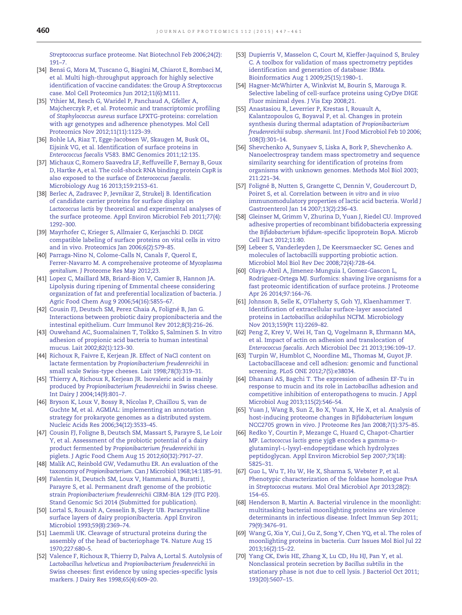<span id="page-13-0"></span>Streptococcus [surface proteome. Nat Biotechnol Feb 2006;24\(2\):](http://refhub.elsevier.com/S1874-3919(14)00379-0/rf0160) [191](http://refhub.elsevier.com/S1874-3919(14)00379-0/rf0160)–7.

- [34] [Bensi G, Mora M, Tuscano G, Biagini M, Chiarot E, Bombaci M,](http://refhub.elsevier.com/S1874-3919(14)00379-0/rf0165) [et al. Multi high-throughput approach for highly selective](http://refhub.elsevier.com/S1874-3919(14)00379-0/rf0165) [identification of vaccine candidates: the Group A](http://refhub.elsevier.com/S1874-3919(14)00379-0/rf0165) Streptococcus [case. Mol Cell Proteomics Jun 2012;11\(6\):M111.](http://refhub.elsevier.com/S1874-3919(14)00379-0/rf0165)
- [35] [Ythier M, Resch G, Waridel P, Panchaud A, Gfeller A,](http://refhub.elsevier.com/S1874-3919(14)00379-0/rf0170) [Majcherczyk P, et al. Proteomic and transcriptomic profiling](http://refhub.elsevier.com/S1874-3919(14)00379-0/rf0170) of Staphylococcus aureus [surface LPXTG-proteins: correlation](http://refhub.elsevier.com/S1874-3919(14)00379-0/rf0170) [with agr genotypes and adherence phenotypes. Mol Cell](http://refhub.elsevier.com/S1874-3919(14)00379-0/rf0170) [Proteomics Nov 2012;11\(11\):1123](http://refhub.elsevier.com/S1874-3919(14)00379-0/rf0170)–39.
- [36] [Bohle LA, Riaz T, Egge-Jacobsen W, Skaugen M, Busk OL,](http://refhub.elsevier.com/S1874-3919(14)00379-0/rf0175) [Eijsink VG, et al. Identification of surface proteins in](http://refhub.elsevier.com/S1874-3919(14)00379-0/rf0175) Enterococcus faecalis [V583. BMC Genomics 2011;12:135.](http://refhub.elsevier.com/S1874-3919(14)00379-0/rf0175)
- [37] [Michaux C, Romero Saavedra LF, Reffuveille F, Bernay B, Goux](http://refhub.elsevier.com/S1874-3919(14)00379-0/rf0385) [D, Hartke A, et al. The cold-shock RNA binding protein CspR is](http://refhub.elsevier.com/S1874-3919(14)00379-0/rf0385) [also exposed to the surface of](http://refhub.elsevier.com/S1874-3919(14)00379-0/rf0385) Enterococcus faecalis. [Microbiology Aug 16 2013;159:2153](http://refhub.elsevier.com/S1874-3919(14)00379-0/rf0385)–61.
- [38] [Berlec A, Zadravec P, Jevnikar Z, Strukelj B. Identification](http://refhub.elsevier.com/S1874-3919(14)00379-0/rf0185) [of candidate carrier proteins for surface display on](http://refhub.elsevier.com/S1874-3919(14)00379-0/rf0185) Lactococcus lactis [by theoretical and experimental analyses of](http://refhub.elsevier.com/S1874-3919(14)00379-0/rf0185) [the surface proteome. Appl Environ Microbiol Feb 2011;77\(4\):](http://refhub.elsevier.com/S1874-3919(14)00379-0/rf0185) [1292](http://refhub.elsevier.com/S1874-3919(14)00379-0/rf0185)–300.
- [39] [Mayrhofer C, Krieger S, Allmaier G, Kerjaschki D. DIGE](http://refhub.elsevier.com/S1874-3919(14)00379-0/rf0190) [compatible labeling of surface proteins on vital cells in vitro](http://refhub.elsevier.com/S1874-3919(14)00379-0/rf0190) [and in vivo. Proteomics Jan 2006;6\(2\):579](http://refhub.elsevier.com/S1874-3919(14)00379-0/rf0190)–85.
- [40] [Parraga-Nino N, Colome-Calls N, Canals F, Querol E,](http://refhub.elsevier.com/S1874-3919(14)00379-0/rf0195) [Ferrer-Navarro M. A comprehensive proteome of](http://refhub.elsevier.com/S1874-3919(14)00379-0/rf0195) Mycoplasma genitalium[. J Proteome Res May 2012;23.](http://refhub.elsevier.com/S1874-3919(14)00379-0/rf0195)
- [41] [Lopez C, Maillard MB, Briard-Bion V, Camier B, Hannon JA.](http://refhub.elsevier.com/S1874-3919(14)00379-0/rf0200) [Lipolysis during ripening of Emmental cheese considering](http://refhub.elsevier.com/S1874-3919(14)00379-0/rf0200) [organization of fat and preferential localization of bacteria. J](http://refhub.elsevier.com/S1874-3919(14)00379-0/rf0200) [Agric Food Chem Aug 9 2006;54\(16\):5855](http://refhub.elsevier.com/S1874-3919(14)00379-0/rf0200)–67.
- [42] [Cousin FJ, Deutsch SM, Perez Chaia A, Foligné B, Jan G.](http://refhub.elsevier.com/S1874-3919(14)00379-0/rf0205) [Interactions between probiotic dairy propionibacteria and the](http://refhub.elsevier.com/S1874-3919(14)00379-0/rf0205) [intestinal epithelium. Curr Immunol Rev 2012;8\(3\):216](http://refhub.elsevier.com/S1874-3919(14)00379-0/rf0205)–26.
- [43] [Ouwehand AC, Suomalainen T, Tolkko S, Salminen S. In vitro](http://refhub.elsevier.com/S1874-3919(14)00379-0/rf0210) [adhesion of propionic acid bacteria to human intestinal](http://refhub.elsevier.com/S1874-3919(14)00379-0/rf0210) [mucus. Lait 2002;82\(1\):123](http://refhub.elsevier.com/S1874-3919(14)00379-0/rf0210)–30.
- [44] [Richoux R, Faivre E, Kerjean JR. Effect of NaCl content on](http://refhub.elsevier.com/S1874-3919(14)00379-0/rf0215) lactate fermentation by [Propionibacterium freudenreichii](http://refhub.elsevier.com/S1874-3919(14)00379-0/rf0215) in [small scale Swiss-type cheeses. Lait 1998;78\(3\):319](http://refhub.elsevier.com/S1874-3919(14)00379-0/rf0215)–31.
- [45] [Thierry A, Richoux R, Kerjean JR. Isovaleric acid is mainly](http://refhub.elsevier.com/S1874-3919(14)00379-0/rf0220) produced by [Propionibacterium freudenreichii](http://refhub.elsevier.com/S1874-3919(14)00379-0/rf0220) in Swiss cheese. [Int Dairy J 2004;14\(9\):801](http://refhub.elsevier.com/S1874-3919(14)00379-0/rf0220)–7.
- [46] [Bryson K, Loux V, Bossy R, Nicolas P, Chaillou S, van de](http://refhub.elsevier.com/S1874-3919(14)00379-0/rf0225) [Guchte M, et al. AGMIAL: implementing an annotation](http://refhub.elsevier.com/S1874-3919(14)00379-0/rf0225) [strategy for prokaryote genomes as a distributed system.](http://refhub.elsevier.com/S1874-3919(14)00379-0/rf0225) [Nucleic Acids Res 2006;34\(12\):3533](http://refhub.elsevier.com/S1874-3919(14)00379-0/rf0225)–45.
- [47] [Cousin FJ, Foligne B, Deutsch SM, Massart S, Parayre S, Le Loir](http://refhub.elsevier.com/S1874-3919(14)00379-0/rf0230) [Y, et al. Assessment of the probiotic potential of a dairy](http://refhub.elsevier.com/S1874-3919(14)00379-0/rf0230) product fermented by [Propionibacterium freudenreichii](http://refhub.elsevier.com/S1874-3919(14)00379-0/rf0230) in [piglets. J Agric Food Chem Aug 15 2012;60\(32\):7917](http://refhub.elsevier.com/S1874-3919(14)00379-0/rf0230)–27.
- [48] [Malik AC, Reinbold GW, Vedamuthu ER. An evaluation of the](http://refhub.elsevier.com/S1874-3919(14)00379-0/rf0235) taxonomy of Propionibacterium[. Can J Microbiol 1968;14:1185](http://refhub.elsevier.com/S1874-3919(14)00379-0/rf0235)–91.
- [49] [Falentin H, Deutsch SM, Loux V, Hammani A, Buratti J,](http://refhub.elsevier.com/S1874-3919(14)00379-0/rf0390) [Parayre S, et al. Permanent draft genome of the probiotic](http://refhub.elsevier.com/S1874-3919(14)00379-0/rf0390) strain [Propionibacterium freudenreichii](http://refhub.elsevier.com/S1874-3919(14)00379-0/rf0390) CIRM-BIA 129 (ITG P20). [Stand Genomic Sci 2014 \(Submitted for publication\).](http://refhub.elsevier.com/S1874-3919(14)00379-0/rf0390)
- [50] [Lortal S, Rouault A, Cesselin B, Sleytr UB. Paracrystalline](http://refhub.elsevier.com/S1874-3919(14)00379-0/rf0240) [surface layers of dairy propionibacteria. Appl Environ](http://refhub.elsevier.com/S1874-3919(14)00379-0/rf0240) [Microbiol 1993;59\(8\):2369](http://refhub.elsevier.com/S1874-3919(14)00379-0/rf0240)–74.
- [51] [Laemmli UK. Cleavage of structural proteins during the](http://refhub.elsevier.com/S1874-3919(14)00379-0/rf0245) [assembly of the head of bacteriophage T4. Nature Aug 15](http://refhub.elsevier.com/S1874-3919(14)00379-0/rf0245) [1970;227:680](http://refhub.elsevier.com/S1874-3919(14)00379-0/rf0245)–5.
- [52] [Valence F, Richoux R, Thierry D, Palva A, Lortal S. Autolysis of](http://refhub.elsevier.com/S1874-3919(14)00379-0/rf0250) Lactobacillus helveticus and [Propionibacterium freudenreichii](http://refhub.elsevier.com/S1874-3919(14)00379-0/rf0250) in [Swiss cheeses: first evidence by using species-specific lysis](http://refhub.elsevier.com/S1874-3919(14)00379-0/rf0250) [markers. J Dairy Res 1998;65\(4\):609](http://refhub.elsevier.com/S1874-3919(14)00379-0/rf0250)–20.
- [53] [Dupierris V, Masselon C, Court M, Kieffer-Jaquinod S, Bruley](http://refhub.elsevier.com/S1874-3919(14)00379-0/rf0255) [C. A toolbox for validation of mass spectrometry peptides](http://refhub.elsevier.com/S1874-3919(14)00379-0/rf0255) [identification and generation of database: IRMa.](http://refhub.elsevier.com/S1874-3919(14)00379-0/rf0255) [Bioinformatics Aug 1 2009;25\(15\):1980](http://refhub.elsevier.com/S1874-3919(14)00379-0/rf0255)–1.
- [54] [Hagner-McWhirter A, Winkvist M, Bourin S, Marouga R.](http://refhub.elsevier.com/S1874-3919(14)00379-0/rf0260) [Selective labeling of cell-surface proteins using CyDye DIGE](http://refhub.elsevier.com/S1874-3919(14)00379-0/rf0260) [Fluor minimal dyes. J Vis Exp 2008;21.](http://refhub.elsevier.com/S1874-3919(14)00379-0/rf0260)
- [55] [Anastasiou R, Leverrier P, Krestas I, Rouault A,](http://refhub.elsevier.com/S1874-3919(14)00379-0/rf0395) [Kalantzopoulos G, Boyaval P, et al. Changes in protein](http://refhub.elsevier.com/S1874-3919(14)00379-0/rf0395) [synthesis during thermal adaptation of](http://refhub.elsevier.com/S1874-3919(14)00379-0/rf0395) Propionibacterium freudenreichii subsp. shermanii[. Int J Food Microbiol Feb 10 2006;](http://refhub.elsevier.com/S1874-3919(14)00379-0/rf0395) [108\(3\):301](http://refhub.elsevier.com/S1874-3919(14)00379-0/rf0395)–14.
- [56] [Shevchenko A, Sunyaev S, Liska A, Bork P, Shevchenko A.](http://refhub.elsevier.com/S1874-3919(14)00379-0/rf0270) [Nanoelectrospray tandem mass spectrometry and sequence](http://refhub.elsevier.com/S1874-3919(14)00379-0/rf0270) [similarity searching for identification of proteins from](http://refhub.elsevier.com/S1874-3919(14)00379-0/rf0270) [organisms with unknown genomes. Methods Mol Biol 2003;](http://refhub.elsevier.com/S1874-3919(14)00379-0/rf0270) [211:221](http://refhub.elsevier.com/S1874-3919(14)00379-0/rf0270)–34.
- [57] [Foligné B, Nutten S, Grangette C, Dennin V, Goudercourt D,](http://refhub.elsevier.com/S1874-3919(14)00379-0/rf0275) [Poiret S, et al. Correlation between](http://refhub.elsevier.com/S1874-3919(14)00379-0/rf0275) in vitro and in vivo [immunomodulatory properties of lactic acid bacteria. World J](http://refhub.elsevier.com/S1874-3919(14)00379-0/rf0275) [Gastroenterol Jan 14 2007;13\(2\):236](http://refhub.elsevier.com/S1874-3919(14)00379-0/rf0275)–43.
- [58] [Gleinser M, Grimm V, Zhurina D, Yuan J, Riedel CU. Improved](http://refhub.elsevier.com/S1874-3919(14)00379-0/rf0280) [adhesive properties of recombinant bifidobacteria expressing](http://refhub.elsevier.com/S1874-3919(14)00379-0/rf0280) the Bifidobacterium bifidum[-specific lipoprotein BopA. Microb](http://refhub.elsevier.com/S1874-3919(14)00379-0/rf0280) [Cell Fact 2012;11:80.](http://refhub.elsevier.com/S1874-3919(14)00379-0/rf0280)
- [59] [Lebeer S, Vanderleyden J, De Keersmaecker SC. Genes and](http://refhub.elsevier.com/S1874-3919(14)00379-0/rf0285) [molecules of lactobacilli supporting probiotic action.](http://refhub.elsevier.com/S1874-3919(14)00379-0/rf0285) [Microbiol Mol Biol Rev Dec 2008;72\(4\):728](http://refhub.elsevier.com/S1874-3919(14)00379-0/rf0285)–64.
- [60] [Olaya-Abril A, Jimenez-Munguia I, Gomez-Gascon L,](http://refhub.elsevier.com/S1874-3919(14)00379-0/rf0290) [Rodriguez-Ortega MJ. Surfomics: shaving live organisms for a](http://refhub.elsevier.com/S1874-3919(14)00379-0/rf0290) [fast proteomic identification of surface proteins. J Proteome](http://refhub.elsevier.com/S1874-3919(14)00379-0/rf0290) [Apr 26 2014;97:164](http://refhub.elsevier.com/S1874-3919(14)00379-0/rf0290)–76.
- [61] [Johnson B, Selle K, O'Flaherty S, Goh YJ, Klaenhammer T.](http://refhub.elsevier.com/S1874-3919(14)00379-0/rf0295) [Identification of extracellular surface-layer associated](http://refhub.elsevier.com/S1874-3919(14)00379-0/rf0295) proteins in [Lactobacillus acidophilus](http://refhub.elsevier.com/S1874-3919(14)00379-0/rf0295) NCFM. Microbiology [Nov 2013;159\(Pt 11\):2269](http://refhub.elsevier.com/S1874-3919(14)00379-0/rf0295)–82.
- [62] [Peng Z, Krey V, Wei H, Tan Q, Vogelmann R, Ehrmann MA,](http://refhub.elsevier.com/S1874-3919(14)00379-0/rf0400) [et al. Impact of actin on adhesion and translocation of](http://refhub.elsevier.com/S1874-3919(14)00379-0/rf0400) Enterococcus faecalis[. Arch Microbiol Dec 21 2013;196:109](http://refhub.elsevier.com/S1874-3919(14)00379-0/rf0400)–17.
- [63] [Turpin W, Humblot C, Noordine ML, Thomas M, Guyot JP.](http://refhub.elsevier.com/S1874-3919(14)00379-0/rf0305) [Lactobacillaceae and cell adhesion: genomic and functional](http://refhub.elsevier.com/S1874-3919(14)00379-0/rf0305) [screening. PLoS ONE 2012;7\(5\):e38034.](http://refhub.elsevier.com/S1874-3919(14)00379-0/rf0305)
- [64] [Dhanani AS, Bagchi T. The expression of adhesin EF-Tu in](http://refhub.elsevier.com/S1874-3919(14)00379-0/rf0310) [response to mucin and its role in](http://refhub.elsevier.com/S1874-3919(14)00379-0/rf0310) Lactobacillus adhesion and [competitive inhibition of enteropathogens to mucin. J Appl](http://refhub.elsevier.com/S1874-3919(14)00379-0/rf0310) [Microbiol Aug 2013;115\(2\):546](http://refhub.elsevier.com/S1874-3919(14)00379-0/rf0310)–54.
- [65] [Yuan J, Wang B, Sun Z, Bo X, Yuan X, He X, et al. Analysis of](http://refhub.elsevier.com/S1874-3919(14)00379-0/rf0315) [host-inducing proteome changes in](http://refhub.elsevier.com/S1874-3919(14)00379-0/rf0315) Bifidobacterium longum [NCC2705 grown in vivo. J Proteome Res Jan 2008;7\(1\):375](http://refhub.elsevier.com/S1874-3919(14)00379-0/rf0315)–85.
- [66] [Redko Y, Courtin P, Mezange C, Huard C, Chapot-Chartier](http://refhub.elsevier.com/S1874-3919(14)00379-0/rf0320) MP. Lactococcus lactis [gene yjgB encodes a gamma-D](http://refhub.elsevier.com/S1874-3919(14)00379-0/rf0320)[glutaminyl-L-lysyl-endopeptidase which hydrolyzes](http://refhub.elsevier.com/S1874-3919(14)00379-0/rf0320) [peptidoglycan. Appl Environ Microbiol Sep 2007;73\(18\):](http://refhub.elsevier.com/S1874-3919(14)00379-0/rf0320) [5825](http://refhub.elsevier.com/S1874-3919(14)00379-0/rf0320)–31.
- [67] [Guo L, Wu T, Hu W, He X, Sharma S, Webster P, et al.](http://refhub.elsevier.com/S1874-3919(14)00379-0/rf0325) [Phenotypic characterization of the foldase homologue PrsA](http://refhub.elsevier.com/S1874-3919(14)00379-0/rf0325) in Streptococcus mutans[. Mol Oral Microbiol Apr 2013;28\(2\):](http://refhub.elsevier.com/S1874-3919(14)00379-0/rf0325) [154](http://refhub.elsevier.com/S1874-3919(14)00379-0/rf0325)–65.
- [68] [Henderson B, Martin A. Bacterial virulence in the moonlight:](http://refhub.elsevier.com/S1874-3919(14)00379-0/rf0330) [multitasking bacterial moonlighting proteins are virulence](http://refhub.elsevier.com/S1874-3919(14)00379-0/rf0330) [determinants in infectious disease. Infect Immun Sep 2011;](http://refhub.elsevier.com/S1874-3919(14)00379-0/rf0330) [79\(9\):3476](http://refhub.elsevier.com/S1874-3919(14)00379-0/rf0330)–91.
- [69] [Wang G, Xia Y, Cui J, Gu Z, Song Y, Chen YQ, et al. The roles of](http://refhub.elsevier.com/S1874-3919(14)00379-0/rf0335) [moonlighting proteins in bacteria. Curr Issues Mol Biol Jul 22](http://refhub.elsevier.com/S1874-3919(14)00379-0/rf0335) [2013;16\(2\):15](http://refhub.elsevier.com/S1874-3919(14)00379-0/rf0335)–22.
- [70] [Yang CK, Ewis HE, Zhang X, Lu CD, Hu HJ, Pan Y, et al.](http://refhub.elsevier.com/S1874-3919(14)00379-0/rf0340) [Nonclassical protein secretion by](http://refhub.elsevier.com/S1874-3919(14)00379-0/rf0340) Bacillus subtilis in the [stationary phase is not due to cell lysis. J Bacteriol Oct 2011;](http://refhub.elsevier.com/S1874-3919(14)00379-0/rf0340) [193\(20\):5607](http://refhub.elsevier.com/S1874-3919(14)00379-0/rf0340)–15.